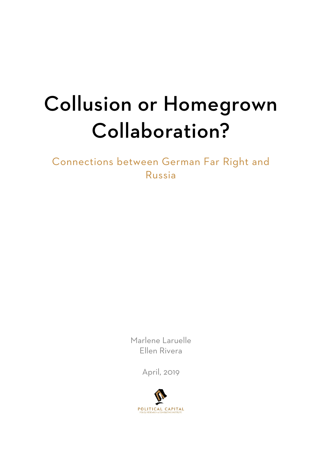# Collusion or Homegrown Collaboration?

Connections between German Far Right and Russia

> Marlene Laruelle Ellen Rivera

> > April, 2019

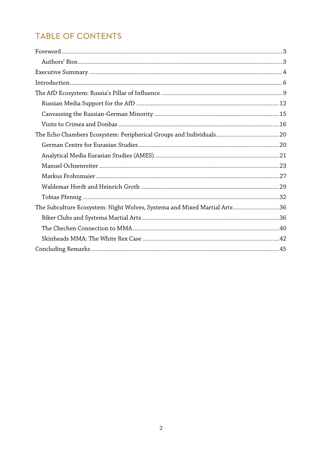# **TABLE OF CONTENTS**

| The Subculture Ecosystem: Night Wolves, Systema and Mixed Martial Arts 36 |  |
|---------------------------------------------------------------------------|--|
|                                                                           |  |
|                                                                           |  |
|                                                                           |  |
|                                                                           |  |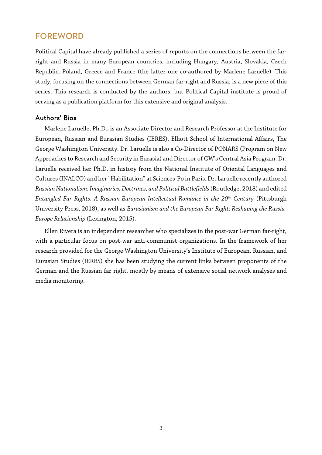### FOREWORD

Political Capital have already published a series of reports on the connections between the farright and Russia in many European countries, including Hungary, Austria, Slovakia, Czech Republic, Poland, Greece and France (the latter one co-authored by Marlene Laruelle). This study, focusing on the connections between German far-right and Russia, is a new piece of this series. This research is conducted by the authors, but Political Capital institute is proud of serving as a publication platform for this extensive and original analysis.

#### Authors' Bios

Marlene Laruelle, Ph.D., is an Associate Director and Research Professor at the Institute for European, Russian and Eurasian Studies [\(IERES\)](https://www.gwu.edu/%7Eieresgwu/), Elliott School of International Affairs, The George Washington University. Dr. Laruelle is also a Co-Director of [PONARS](http://www.ponarseurasia.org/) (Program on New Approaches to Research and Security in Eurasia) and Director of GW's Central Asia Program. Dr. Laruelle received her Ph.D. in history from the National Institute of Oriental Languages and Cultures (INALCO) and her"Habilitation" at Sciences-Po in Paris. Dr. Laruelle recently authored *RussianNationalism: Imaginaries,Doctrines, and Political Battlefields*(Routledge, 2018) and edited *Entangled Far Rights: A Russian-European Intellectual Romance in the 20th Century* (Pittsburgh University Press*,* 2018), as well as *Eurasianism and the European Far Right: Reshaping the Russia-Europe Relationship* (Lexington, 2015).

Ellen Rivera is an independent researcher who specializes in the post-war German far-right, with a particular focus on post-war anti-communist organizations. In the framework of her research provided for the George Washington University's Institute of European, Russian, and Eurasian Studies (IERES) she has been studying the current links between proponents of the German and the Russian far right, mostly by means of extensive social network analyses and media monitoring.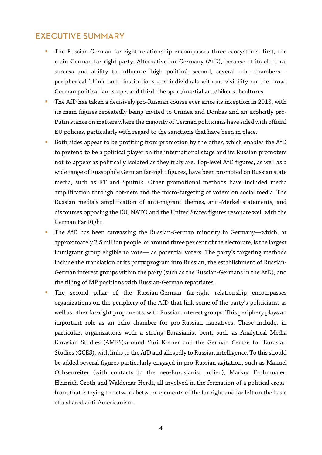## EXECUTIVE SUMMARY

- The Russian-German far right relationship encompasses three ecosystems: first, the main German far-right party, Alternative for Germany (AfD), because of its electoral success and ability to influence 'high politics'; second, several echo chambers peripherical 'think tank' institutions and individuals without visibility on the broad German political landscape; and third, the sport/martial arts/biker subcultures.
- The AfD has taken a decisively pro-Russian course ever since its inception in 2013, with its main figures repeatedly being invited to Crimea and Donbas and an explicitly pro-Putin stance on matters where the majority of German politicians have sided with official EU policies, particularly with regard to the sanctions that have been in place.
- Both sides appear to be profiting from promotion by the other, which enables the AfD to pretend to be a political player on the international stage and its Russian promoters not to appear as politically isolated as they truly are. Top-level AfD figures, as well as a wide range of Russophile German far-right figures, have been promoted on Russian state media, such as RT and Sputnik. Other promotional methods have included media amplification through bot-nets and the micro-targeting of voters on social media. The Russian media's amplification of anti-migrant themes, anti-Merkel statements, and discourses opposing the EU, NATO and the United States figures resonate well with the German Far Right.
- The AfD has been canvassing the Russian-German minority in Germany—which, at approximately 2.5 million people, or around three per cent of the electorate, is the largest immigrant group eligible to vote— as potential voters. The party's targeting methods include the translation of its party program into Russian, the establishment of Russian-German interest groups within the party (such as the Russian-Germans in the AfD), and the filling of MP positions with Russian-German repatriates.
- The second pillar of the Russian-German far-right relationship encompasses organizations on the periphery of the AfD that link some of the party's politicians, as well as other far-right proponents, with Russian interest groups. This periphery plays an important role as an echo chamber for pro-Russian narratives. These include, in particular, organizations with a strong Eurasianist bent, such as Analytical Media Eurasian Studies (AMES) around Yuri Kofner and the German Centre for Eurasian Studies (GCES), with links to the AfD and allegedly to Russian intelligence. To this should be added several figures particularly engaged in pro-Russian agitation, such as Manuel Ochsenreiter (with contacts to the neo-Eurasianist milieu), Markus Frohnmaier, Heinrich Groth and Waldemar Herdt, all involved in the formation of a political crossfront that is trying to network between elements of the far right and far left on the basis of a shared anti-Americanism.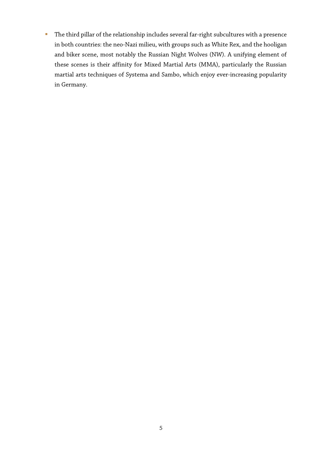The third pillar of the relationship includes several far-right subcultures with a presence in both countries: the neo-Nazi milieu, with groups such as White Rex, and the hooligan and biker scene, most notably the Russian Night Wolves (NW). A unifying element of these scenes is their affinity for Mixed Martial Arts (MMA), particularly the Russian martial arts techniques of Systema and Sambo, which enjoy ever-increasing popularity in Germany.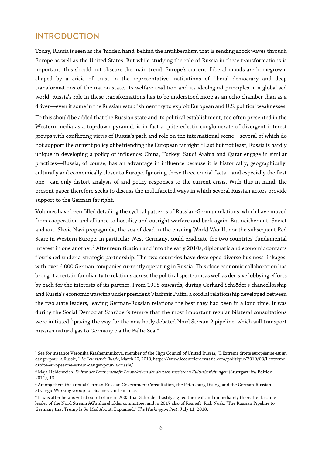## INTRODUCTION

Today, Russia is seen as the 'hidden hand' behind the antiliberalism that is sending shock waves through Europe as well as the United States. But while studying the role of Russia in these transformations is important, this should not obscure the main trend: Europe's current illiberal moods are homegrown, shaped by a crisis of trust in the representative institutions of liberal democracy and deep transformations of the nation-state, its welfare tradition and its ideological principles in a globalised world. Russia's role in these transformations has to be understood more as an echo chamber than as a driver—even if some in the Russian establishment try to exploit European and U.S. political weaknesses.

To this should be added that the Russian state and its political establishment, too often presented in the Western media as a top-down pyramid, is in fact a quite eclectic conglomerate of divergent interest groups with conflicting views of Russia's path and role on the international scene—several of which do not support the current policy of befriending the European far right.<sup>1</sup> Last but not least, Russia is hardly unique in developing a policy of influence: China, Turkey, Saudi Arabia and Qatar engage in similar practices—Russia, of course, has an advantage in influence because it is historically, geographically, culturally and economically closer to Europe. Ignoring these three crucial facts—and especially the first one—can only distort analysis of and policy responses to the current crisis. With this in mind, the present paper therefore seeks to discuss the multifaceted ways in which several Russian actors provide support to the German far right.

Volumes have been filled detailing the cyclical patterns of Russian-German relations, which have moved from cooperation and alliance to hostility and outright warfare and back again. But neither anti-Soviet and anti-Slavic Nazi propaganda, the sea of dead in the ensuing World War II, nor the subsequent Red Scare in Western Europe, in particular West Germany, could eradicate the two countries' fundamental interest in one another.<sup>[2](#page-5-1)</sup> After reunification and into the early 2010s, diplomatic and economic contacts flourished under a strategic partnership. The two countries have developed diverse business linkages, with over 6,000 German companies currently operating in Russia. This close economic collaboration has brought a certain familiarity to relations across the political spectrum, as well as decisive lobbying efforts by each for the interests of its partner. From 1998 onwards, during Gerhard Schröder's chancellorship and Russia's economic upswing under president Vladimir Putin, a cordial relationship developed between the two state leaders, leaving German-Russian relations the best they had been in a long time. It was during the Social Democrat Schröder's tenure that the most important regular bilateral consultations were initiated,<sup>[3](#page-5-2)</sup> paving the way for the now hotly debated Nord Stream 2 pipeline, which will transport Russian natural gas to Germany via the Baltic Sea.[4](#page-5-3)

<span id="page-5-0"></span> $\overline{a}$ <sup>1</sup> See for instance Veronika Krasheninnikova, member of the High Council of United Russia, "L'Extrême droite européenne est un danger pour la Russie," *Le Courrier de Russie*, March 20, 2019[, https://www.lecourrierderussie.com/politique/2019/03/l-extreme](https://www.lecourrierderussie.com/politique/2019/03/l-extreme-droite-europeenne-est-un-danger-pour-la-russie/)[droite-europeenne-est-un-danger-pour-la-russie/](https://www.lecourrierderussie.com/politique/2019/03/l-extreme-droite-europeenne-est-un-danger-pour-la-russie/)

<span id="page-5-1"></span><sup>2</sup> Maja Heidenreich, *Kultur der Partnerschaft: Perspektiven der deutsch-russischen Kulturbeziehungen* (Stuttgart: ifa-Edition, 2011), 13.

<span id="page-5-2"></span><sup>&</sup>lt;sup>3</sup> Among them the annual German-Russian Government Consultation, the Petersburg Dialog, and the German-Russian Strategic Working Group for Business and Finance.

<span id="page-5-3"></span><sup>4</sup> It was after he was voted out of office in 2005 that Schröder 'hastily signed the deal' and immediately thereafter became leader of the Nord Stream AG's shareholder committee, and in 2017 also of Rosneft. Rick Noak, "The Russian Pipeline to Germany that Trump Is So Mad About, Explained," *The Washington Post*, July 11, 2018,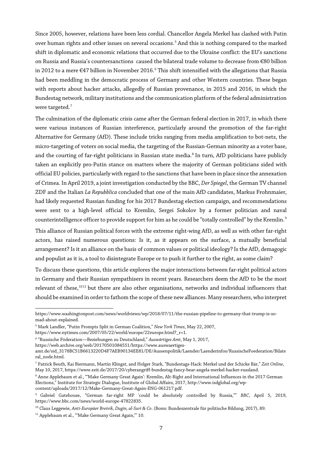Since 2005, however, relations have been less cordial. Chancellor Angela Merkel has clashed with Putin over human rights and other issues on several occasions.<sup>[5](#page-6-0)</sup> And this is nothing compared to the marked shift in diplomatic and economic relations that occurred due to the Ukraine conflict: the EU's sanctions on Russia and Russia's countersanctions caused the bilateral trade volume to decrease from €80 billion in 2012 to a mere  $E$ 47 billion in November 201[6](#page-6-1).<sup>6</sup> This shift intensified with the allegations that Russia had been meddling in the democratic process of Germany and other Western countries. These began with reports about hacker attacks, allegedly of Russian provenance, in 2015 and 2016, in which the Bundestag network, military institutions and the communication platform of the federal administration were targeted.<sup>[7](#page-6-2)</sup>

The culmination of the diplomatic crisis came after the German federal election in 2017, in which there were various instances of Russian interference, particularly around the promotion of the far-right Alternative for Germany (AfD). These include tricks ranging from media amplification to bot-nets, the micro-targeting of voters on social media, the targeting of the Russian-German minority as a voter base, and the courting of far-right politicians in Russian state media.<sup>[8](#page-6-3)</sup> In turn, AfD politicians have publicly taken an explicitly pro-Putin stance on matters where the majority of German politicians sided with official EU policies, particularly with regard to the sanctions that have been in place since the annexation of Crimea. In April 2019, a joint investigation conducted by the BBC, *Der Spiegel*, the German TV channel ZDF and the Italian *La Repubblica* concluded that one of the main AfD candidates, Markus Frohnmaier, had likely requested Russian funding for his 2017 Bundestag election campaign, and recommendations were sent to a high-level official to Kremlin, Sergei Sokolov by a former politician and naval counterintelligence officer to provide support for him as he could be "totally controlled" by the Kremlin. [9](#page-6-4)

This alliance of Russian political forces with the extreme right-wing AfD, as well as with other far-right actors, has raised numerous questions: Is it, as it appears on the surface, a mutually beneficial arrangement? Is it an alliance on the basis of common values or political ideology? Is the AfD, demagogic and populist as it is, a tool to disintegrate Europe or to push it further to the right, as some claim?

To discuss these questions, this article explores the major interactions between far-right political actors in Germany and their Russian sympathisers in recent years. Researchers deem the AfD to be the most relevant of these,<sup>[10](#page-6-5)[11](#page-6-6)</sup> but there are also other organisations, networks and individual influencers that should be examined in order to fathom the scope of these new alliances. Many researchers, who interpret

 $\overline{a}$ 

https://www.washingtonpost.com/news/worldviews/wp/2018/07/11/the-russian-pipeline-to-germany-that-trump-is-somad-about-explained.

<span id="page-6-0"></span><sup>5</sup> Mark Landler, "Putin Prompts Split in German Coalition," *New York Times*, May 22, 2007,

https://www.nytimes.com/2007/05/22/world/europe/22europe.html?\_r=1.

<span id="page-6-1"></span><sup>6</sup> "Russische Föderation—Beziehungen zu Deutschland," *Auswärtiges Amt*, May 1, 2017,

https://web.archive.org/web/20170501084551/https://www.auswaertiges-

amt.de/sid\_3178BC51B6613220D4F7AEB90134EE81/DE/Aussenpolitik/Laender/Laenderinfos/RussischeFoederation/Bilate ral\_node.html.

<span id="page-6-2"></span><sup>7</sup> Patrick Beuth, Kai Biermann, Martin Klingst, and Holger Stark, "Bundestags-Hack: Merkel und der Schicke Bär," *Zeit Online*, May 10, 2017, https://www.zeit.de/2017/20/cyberangriff-bundestag-fancy-bear-angela-merkel-hacker-russland.

<span id="page-6-3"></span><sup>&</sup>lt;sup>8</sup> Anne Applebaum et al., "'Make Germany Great Again': Kremlin, Alt-Right and International Influences in the 2017 German Elections," Institute for Strategic Dialogue, Institute of Global Affairs, 2017, http://www.isdglobal.org/wpcontent/uploads/2017/12/Make-Germany-Great-Again-ENG-061217.pdf.

<span id="page-6-4"></span><sup>9</sup> Gabriel Gatehouse, "German far-right MP 'could be absolutely controlled by Russia,"" *BBC*, April 5, 2019, [https://www.bbc.com/news/world-europe-47822835.](https://www.bbc.com/news/world-europe-47822835)

<span id="page-6-5"></span><sup>10</sup> Claus Leggewie, *Anti-Europäer Breivik, Dugin, al-Suri & Co*. (Bonn: Bundeszentrale für politische Bildung, 2017), 89.

<span id="page-6-6"></span><sup>&</sup>lt;sup>11</sup> Applebaum et al., "'Make Germany Great Again," 10.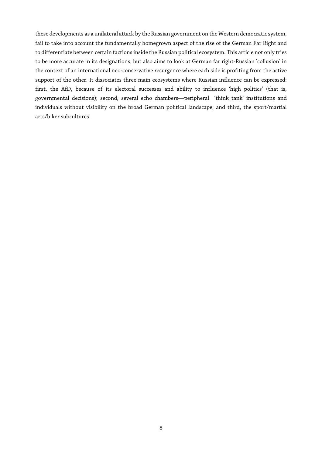these developments as a unilateral attack by the Russian government on the Western democratic system, fail to take into account the fundamentally homegrown aspect of the rise of the German Far Right and to differentiate between certain factions inside the Russian political ecosystem. This article not only tries to be more accurate in its designations, but also aims to look at German far right-Russian 'collusion' in the context of an international neo-conservative resurgence where each side is profiting from the active support of the other. It dissociates three main ecosystems where Russian influence can be expressed: first, the AfD, because of its electoral successes and ability to influence 'high politics' (that is, governmental decisions); second, several echo chambers—peripheral 'think tank' institutions and individuals without visibility on the broad German political landscape; and third, the sport/martial arts/biker subcultures.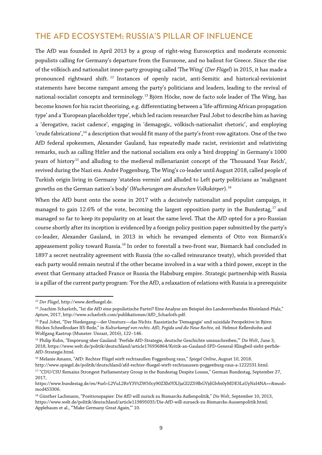## THE AFD ECOSYSTEM: RUSSIA'S PILLAR OF INFLUENCE

The AfD was founded in April 2013 by a group of right-wing Eurosceptics and moderate economic populists calling for Germany's departure from the Eurozone, and no bailout for Greece. Since the rise of the völkisch and nationalist inner-party grouping called 'The Wing' (*Der Flügel*) in 2015, it has made a pronounced rightward shift. [12](#page-8-0) Instances of openly racist, anti-Semitic and historical-revisionist statements have become rampant among the party's politicians and leaders, leading to the revival of national-socialist concepts and terminology.<sup>[13](#page-8-1)</sup> Björn Höcke, now de facto sole leader of The Wing, has become known for his racist theorising, e.g. differentiating between a 'life-affirming African propagation type' and a 'European placeholder type', which led racism researcher Paul Jobst to describe him as having a 'derogative, racist cadence', engaging in 'demagogic, völkisch-nationalist rhetoric', and employing 'crude fabrications',<sup>14</sup> a description that would fit many of the party's front-row agitators. One of the two AfD federal spokesmen, Alexander Gauland, has repeatedly made racist, revisionist and relativizing remarks, such as calling Hitler and the national socialism era only a 'bird dropping' in Germany's 1000 years of history<sup>[15](#page-8-3)</sup> and alluding to the medieval millenarianist concept of the 'Thousand Year Reich', revived during the Nazi era. André Poggenburg, The Wing's co-leader until August 2018, called people of Turkish origin living in Germany 'stateless vermin' and alluded to Left party politicians as 'malignant growths on the German nation's body' (*Wucherungen am deutschen Volkskörper*).[16](#page-8-4)

When the AfD burst onto the scene in 2017 with a decisively nationalist and populist campaign, it managed to gain 12.6% of the vote, becoming the largest opposition party in the Bundestag, $^{\rm 17}$  $^{\rm 17}$  $^{\rm 17}$  and managed so far to keep its popularity on at least the same level. That the AfD opted for a pro-Russian course shortly after its inception is evidenced by a foreign policy position paper submitted by the party's co-leader, Alexander Gauland, in 2013 in which he revamped elements of Otto von Bismarck's appeasement policy toward Russia.<sup>18</sup> In order to forestall a two-front war, Bismarck had concluded in 1897 a secret neutrality agreement with Russia (the so-called reinsurance treaty), which provided that each party would remain neutral if the other became involved in a war with a third power, except in the event that Germany attacked France or Russia the Habsburg empire. Strategic partnership with Russia is a pillar of the current party program: 'For the AfD, a relaxation of relations with Russia is a prerequisite

 $\overline{a}$ <sup>12</sup> *Der Flügel*, http://www.derfluegel.de.

<span id="page-8-1"></span><span id="page-8-0"></span><sup>&</sup>lt;sup>13</sup> Joachim Scharloth, "Ist die AfD eine populistische Partei? Eine Analyse am Beispiel des Landesverbandes Rheinland-Pfalz," *Aptum*, 2017, http://www.scharloth.com/publikationen/AfD\_Scharloth.pdf.

<span id="page-8-2"></span><sup>14</sup> Paul Jobst, "Der Niedergang—der Umsturz—das Nichts. Rassistische 'Demagogie' und suizidale Perspektive in Björn Höckes Schnellrodaer IfS-Rede," in *Kulturkampf von rechts. AfD, Pegida und die Neue Rechte*, ed. Helmut Kellershohn and Wolfgang Kastrup (Munster: Unrast, 2016), 122–146.

<span id="page-8-3"></span><sup>15</sup> Philip Kuhn, "Empörung über Gauland: 'Perfide AfD-Strategie, deutsche Geschichte umzuschreiben,'" *Die Welt*, June 3, 2018, https://www.welt.de/politik/deutschland/article176936864/Kritik-an-Gauland-SPD-General-Klingbeil-sieht-perfide-AfD-Strategie.html.

<span id="page-8-4"></span><sup>16</sup> Melanie Amann, "AfD: Rechter Flügel wirft rechtsaußen Poggenburg raus," *Spiegel Online*, August 10, 2018. http://www.spiegel.de/politik/deutschland/afd-rechter-fluegel-wirft-rechtsaussen-poggenburg-raus-a-1222531.html.

<span id="page-8-5"></span><sup>&</sup>lt;sup>17</sup> "CDU/CSU Remains Strongest Parliamentary Group in the Bundestag Despite Losses," German Bundestag, September 27, 2017,

https://www.bundestag.de/en/#url=L2VuL2RvY3VtZW50cy90ZXh0YXJjaGl2ZS9lbGVjdGlvbi0yMDE3LzUyNzI4NA==&mod= mod453306.

<span id="page-8-6"></span><sup>18</sup> Günther Lachmann, "Positionspapier: Die AfD will zurück zu Bismarcks Außenpolitik," *Die Welt*, September 10, 2013, https://www.welt.de/politik/deutschland/article119895035/Die-AfD-will-zurueck-zu-Bismarcks-Aussenpolitik.html; Applebaum et al., "'Make Germany Great Again,'" 10.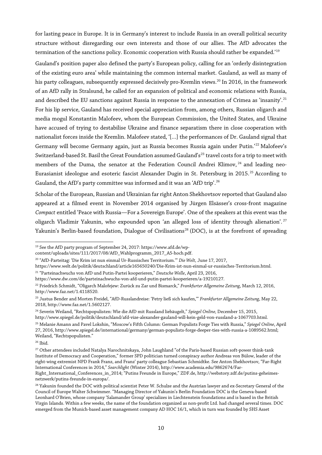for lasting peace in Europe. It is in Germany's interest to include Russia in an overall political security structure without disregarding our own interests and those of our allies. The AfD advocates the termination of the sanctions policy. Economic cooperation with Russia should rather be expanded.'[19](#page-9-0)

Gauland's position paper also defined the party's European policy, calling for an 'orderly disintegration of the existing euro area' while maintaining the common internal market. Gauland, as well as many of his party colleagues, subsequently expressed decisively pro-Kremlin views.<sup>[20](#page-9-1)</sup> In 2016, in the framework of an AfD rally in Stralsund, he called for an expansion of political and economic relations with Russia, and described the EU sanctions against Russia in response to the annexation of Crimea as 'insanity'.<sup>[21](#page-9-2)</sup> For his lip service, Gauland has received special appreciation from, among others, Russian oligarch and media mogul Konstantin Malofeev, whom the European Commission, the United States, and Ukraine have accused of trying to destabilise Ukraine and finance separatism there in close cooperation with nationalist forces inside the Kremlin. Malofeev stated, '[…] the performances of Dr. Gauland signal that Germany will become Germany again, just as Russia becomes Russia again under Putin.' [22](#page-9-3) Malofeev's Switzerland-based St. Basil the Great Foundation assumed Gauland's<sup>[23](#page-9-4)</sup> travel costs for a trip to meet with members of the Duma, the senator at the Federation Council Andrei Klimov, <sup>[24](#page-9-5)</sup> and leading neo-Eurasianist ideologue and esoteric fascist Alexander Dugin in St. Petersburg in 2015.<sup>[25](#page-9-6)</sup> According to Gauland, the AfD's party committee was informed and it was an 'AfD trip'.<sup>[26](#page-9-7)</sup>

Scholar of the European, Russian and Ukrainian farright Anton Shekhovtsov reported that Gauland also appeared at a filmed event in November 2014 organised by Jürgen Elsässer's cross-front magazine *Compact* entitled 'Peace with Russia—For a Sovereign Europe'. One of the speakers at this event was the oligarch Vladimir Yakunin, who expounded upon 'an alleged loss of identity through alienation'.<sup>[27](#page-9-8)</sup> Yakunin's Berlin-based foundation, Dialogue of Civilisations<sup>[28](#page-9-9)</sup> (DOC), is at the forefront of spreading

 $\overline{a}$ 

<span id="page-9-0"></span><sup>&</sup>lt;sup>19</sup> See the AfD party program of September 24, 2017: https://www.afd.de/wp-

content/uploads/sites/111/2017/08/AfD\_Wahlprogramm\_2017\_A5-hoch.pdf.

<span id="page-9-1"></span><sup>20</sup> "AfD-Parteitag: 'Die Krim ist nun einmal Ur-Russisches Territorium.'" *Die Welt,* June 17, 2017,

https://www.welt.de/politik/deutschland/article165650240/Die-Krim-ist-nun-einmal-ur-russisches-Territorium.html. <sup>21</sup> "Parteinachwuchs von AfD und Putin-Partei kooperieren," *Deutsche Welle*, April 23, 2016,

<span id="page-9-2"></span>https://www.dw.com/de/parteinachwuchs-von-afd-und-putin-partei-kooperieren/a-19210127.

<span id="page-9-3"></span><sup>22</sup> Friedrich Schmidt, "Oligarch Malofejew: Zurück zu Zar und Bismarck," *Frankfurter Allgemeine Zeitung*, March 12, 2016, http://www.faz.net/1.4118520.

<span id="page-9-4"></span><sup>23</sup> Justus Bender and Morten Freidel, "AfD-Russlandreise: 'Petry ließ sich kaufen,'" *Frankfurter Allgemeine Zeitung*, May 22, 2018, http://www.faz.net/1.5602127.

<span id="page-9-5"></span><sup>24</sup> Severin Weiland, "Rechtspopulisten: Wie die AfD mit Russland liebäugelt," *Spiegel Online,* December 15, 2015, http://www.spiegel.de/politik/deutschland/afd-vize-alexander-gauland-will-kein-geld-von-russland-a-1067703.html.

<span id="page-9-6"></span><sup>25</sup> Melanie Amann and Pavel Lokshin, "Moscow's Fifth Column: German Populists Forge Ties with Russia," *Spiegel Online*, April 27, 2016, http://www.spiegel.de/international/germany/german-populists-forge-deeper-ties-with-russia-a-1089562.html; Weiland, "Rechtspopulisten."

<span id="page-9-7"></span><sup>26</sup> Ibid.

<span id="page-9-8"></span><sup>&</sup>lt;sup>27</sup> Other attendees included Natalya Narochnitskaya, John Laughland "of the Paris-based Russian soft-power think-tank Institute of Democracy and Cooperation," former SPD politician turned conspiracy author Andreas von Bülow, leader of the right-wing extremist NPD Frank Franz, and Franz' party colleague Sebastian Schmidtke. See Anton Shekhovtsov, "Far-Right International Conferences in 2014," *Searchlight* (Winter 2014), http://www.academia.edu/9862674/Far-Right\_International\_Conferences\_in\_2014; "Putins Freunde in Europe," ZDF.de, http://webstory.zdf.de/putins-geheimesnetzwerk/putins-freunde-in-europa/.

<span id="page-9-9"></span> $^{28}$  Yakunin founded the DOC with political scientist Peter W. Schulze and the Austrian lawyer and ex-Secretary General of the Council of Europe Walter Schwimmer. "Managing Director of Yakunin's Berlin Foundation DOC is the Geneva-based Leonhard O'Brien, whose company 'Salamander Group' specializes in Liechtenstein foundations and is based in the British Virgin Islands. Within a few weeks, the name of the foundation organized as non-profit Ltd. had changed several times. DOC emerged from the Munich-based asset management company AD HOC 16/1, which in turn was founded by SHS Asset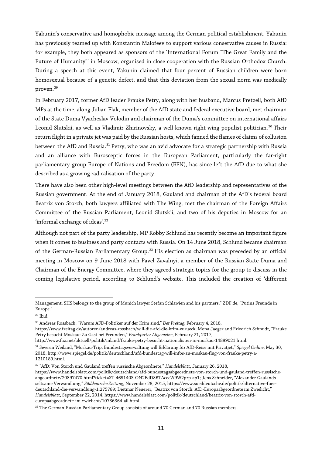Yakunin's conservative and homophobic message among the German political establishment. Yakunin has previously teamed up with Konstantin Malofeev to support various conservative causes in Russia: for example, they both appeared as sponsors of the 'International Forum "The Great Family and the Future of Humanity"' in Moscow, organised in close cooperation with the Russian Orthodox Church. During a speech at this event, Yakunin claimed that four percent of Russian children were born homosexual because of a genetic defect, and that this deviation from the sexual norm was medically proven.[29](#page-10-0)

In February 2017, former AfD leader Frauke Petry, along with her husband, Marcus Pretzell, both AfD MPs at the time, along Julian Flak, member of the AfD state and federal executive board, met chairman of the State Duma Vyacheslav Volodin and chairman of the Duma's committee on international affairs Leonid Slutskii, as well as Vladimir Zhirinovsky, a well-known right-wing populist politician.<sup>[30](#page-10-1)</sup> Their return flight in a private jet was paid by the Russian hosts, which fanned the flames of claims of collusion between the AfD and Russia.<sup>[31](#page-10-2)</sup> Petry, who was an avid advocate for a strategic partnership with Russia and an alliance with Eurosceptic forces in the European Parliament, particularly the far-right parliamentary group Europe of Nations and Freedom (EFN), has since left the AfD due to what she described as a growing radicalisation of the party.

There have also been other high-level meetings between the AfD leadership and representatives of the Russian government. At the end of January 2018, Gauland and chairman of the AfD's federal board Beatrix von Storch, both lawyers affiliated with The Wing, met the chairman of the Foreign Affairs Committee of the Russian Parliament, Leonid Slutskii, and two of his deputies in Moscow for an 'informal exchange of ideas'.<sup>[32](#page-10-3)</sup>

Although not part of the party leadership, MP Robby Schlund has recently become an important figure when it comes to business and party contacts with Russia. On 14 June 2018, Schlund became chairman of the German-Russian Parliamentary Group.<sup>[33](#page-10-4)</sup> His election as chairman was preceded by an official meeting in Moscow on 9 June 2018 with Pavel Zavalnyi, a member of the Russian State Duma and Chairman of the Energy Committee, where they agreed strategic topics for the group to discuss in the coming legislative period, according to Schlund's website. This included the creation of 'different

 $\overline{a}$ Management. SHS belongs to the group of Munich lawyer Stefan Schlawien and his partners." ZDF.de, "Putins Freunde in Europe."

<span id="page-10-0"></span><sup>29</sup> Ibid.

<span id="page-10-1"></span><sup>30</sup> Andreas Rossbach, "Warum AFD-Politiker auf der Krim sind," *Der Freitag*, February 4, 2018,

https://www.freitag.de/autoren/andreas-rossbach/will-die-afd-die-krim-zurueck; Mona Jaeger and Friedrich Schmidt, "Frauke Petry besucht Moskau: Zu Gast bei Freunden," *Frankfurter Allgemeine*, February 21, 2017,

http://www.faz.net/aktuell/politik/inland/frauke-petry-besucht-nationalisten-in-moskau-14889021.html.

<span id="page-10-2"></span><sup>31</sup> Severin Weiland, "Moskau-Trip: Bundestagsverwaltung will Erklärung für AfD-Reise mit Privatjet," *Spiegel Online*, May 30, 2018, http://www.spiegel.de/politik/deutschland/afd-bundestag-will-infos-zu-moskau-flug-von-frauke-petry-a-1210189.html.

<span id="page-10-3"></span><sup>32</sup> "AfD: Von Storch und Gauland treffen russische Abgeordnete," *Handelsblatt*, January 26, 2018,

https://www.handelsblatt.com/politik/deutschland/afd-bundestagsabgeordnete-von-storch-und-gauland-treffen-russischeabgeordnete/20897470.html?ticket=ST-4691403-ON2FdDSBTAcecW9W2prp-ap1; Jens Schneider, "Alexander Gaulands seltsame Verwandlung," *Süddeutsche Zeitung*, November 28, 2015, https://www.sueddeutsche.de/politik/alternative-fuerdeutschland-die-verwandlung-1.275789; Dietmar Neuerer, "Beatrix von Storch: AfD-Europaabgeordnete im Zwielicht," *Handelsblatt*, September 22, 2014, https://www.handelsblatt.com/politik/deutschland/beatrix-von-storch-afdeuropaabgeordnete-im-zwielicht/10736364-all.html.

<span id="page-10-4"></span><sup>&</sup>lt;sup>33</sup> The German-Russian Parliamentary Group consists of around 70 German and 70 Russian members.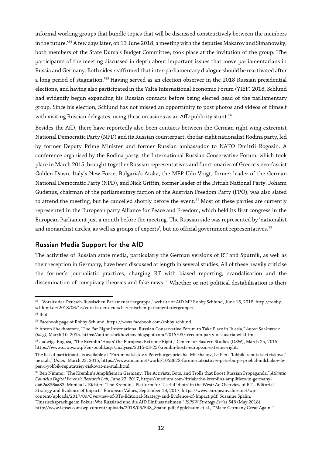informal working groups that bundle topics that will be discussed constructively between the members in the future.'<sup>[34](#page-11-0)</sup> A few days later, on 13 June 2018, a meeting with the deputies Makarov and Simanovsky, both members of the State Duma's Budget Committee, took place at the invitation of the group. 'The participants of the meeting discussed in depth about important issues that move parliamentarians in Russia and Germany. Both sides reaffirmed that inter-parliamentary dialogue should be reactivated after a long period of stagnation.'[35](#page-11-1) Having served as an election observer in the 2018 Russian presidential elections, and having also participated in the Yalta International Economic Forum (YIEF) 2018, Schlund had evidently begun expanding his Russian contacts before being elected head of the parliamentary group. Since his election, Schlund has not missed an opportunity to post photos and videos of himself with visiting Russian delegates, using these occasions as an AfD publicity stunt.<sup>[36](#page-11-2)</sup>

Besides the AfD, there have reportedly also been contacts between the German right-wing extremist National Democratic Party (NPD) and its Russian counterpart, the far-right nationalist Rodina party, led by former Deputy Prime Minister and former Russian ambassador to NATO Dmitrii Rogozin. A conference organised by the Rodina party, the International Russian Conservative Forum, which took place in March 2015, brought together Russian representatives and functionaries of Greece's neo-fascist Golden Dawn, Italy's New Force, Bulgaria's Ataka, the MEP Udo Voigt, former leader of the German National Democratic Party (NPD), and Nick Griffin, former leader of the British National Party. Johann Gudenus, chairman of the parliamentary faction of the Austrian Freedom Party (FPÖ), was also slated to attend the meeting, but he cancelled shortly before the event.<sup>[37](#page-11-3)</sup> Most of these parties are currently represented in the European party Alliance for Peace and Freedom, which held its first congress in the European Parliament just a month before the meeting. The Russian side was represented by 'nationalist and monarchist circles, as well as groups of experts', but no official government representatives.<sup>[38](#page-11-4)</sup>

#### Russian Media Support for the AfD

The activities of Russian state media, particularly the German versions of RT and Sputnik, as well as their reception in Germany, have been discussed at length in several studies. All of these heavily criticise the former's journalistic practices, charging RT with biased reporting, scandalisation and the dissemination of conspiracy theories and fake news.<sup>39</sup> Whether or not political destabilisation is their

<span id="page-11-0"></span> $\overline{a}$ <sup>34</sup> "Vorsitz der Deutsch-Russischen Parlamentariergruppe," website of AfD MP Robby Schlund, June 15, 2018, http://robbyschlund.de/2018/06/15/vorsitz-der-deutsch-russischen-parlamentariergruppe/. <sup>35</sup> Ibid.

<span id="page-11-3"></span><span id="page-11-2"></span><span id="page-11-1"></span><sup>36</sup> Facebook page of Robby Schlund, https://www.facebook.com/robby.schlund.

<sup>37</sup> Anton Shekhovtsov, "The Far Right International Russian Conservative Forum to Take Place in Russia," *Anton Shekovtsov (blog)*, March 10, 2015. https://anton-shekhovtsov.blogspot.com/2015/03/freedom-party-of-austria-will.html.

<span id="page-11-4"></span><sup>38</sup> Jadwiga Rogoża, "The Kremlin 'Hosts' the European Extreme Right," Centre for Eastern Studies (OSW), March 25, 2015, https://www.osw.waw.pl/en/publikacje/analyses/2015-03-25/kremlin-hosts-european-extreme-right.

The list of participants is available at "Forum natsistov v Peterburge: priekhal Mil'chakov, Le Pen i 'Iobbik' reputatsiei riskovat' ne stali," *Unian*, March 23, 2015, https://www.unian.net/world/1058622-forum-natsistov-v-peterburge-priehal-milchakov-lepen-i-yobbik-reputatsiey-riskovat-ne-stali.html.

<span id="page-11-5"></span><sup>39</sup> Ben Nimmo, "The Kremlin's Amplifiers in Germany: The Activists, Bots, and Trolls that Boost Russian Propaganda," *Atlantic Council's Digital Forensic Research Lab*, June 22, 2017, https://medium.com/dfrlab/the-kremlins-amplifiers-in-germanyda62a836aa83; Monika L. Richter, "The Kremlin's Platform for 'Useful Idiots' in the West: An Overview of RT's Editorial Strategy and Evidence of Impact," European Values, September 18, 2017, https://www.europeanvalues.net/wpcontent/uploads/2017/09/Overview-of-RTs-Editorial-Strategy-and-Evidence-of-Impact.pdf; Susanne Spahn,

<sup>&</sup>quot;Russischsprachige im Fokus: Wie Russland und die AfD Einfluss nehmen," *ISPSW Strategy Series* 548 (May 2018), http://www.ispsw.com/wp-content/uploads/2018/05/548\_Spahn.pdf; Applebaum et al., "'Make Germany Great Again.'"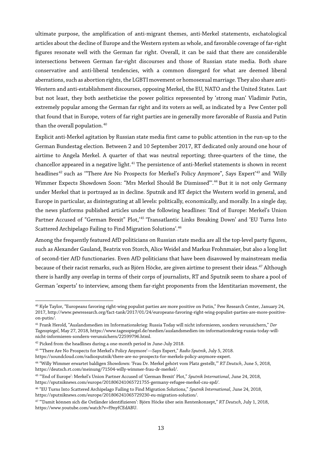ultimate purpose, the amplification of anti-migrant themes, anti-Merkel statements, eschatological articles about the decline of Europe and the Western system as whole, and favorable coverage of far-right figures resonate well with the German far right. Overall, it can be said that there are considerable intersections between German far-right discourses and those of Russian state media. Both share conservative and anti-liberal tendencies, with a common disregard for what are deemed liberal aberrations, such as abortion rights, the LGBTI movement or homosexual marriage. They also share anti-Western and anti-establishment discourses, opposing Merkel, the EU, NATO and the United States. Last but not least, they both aestheticise the power politics represented by 'strong man' Vladimir Putin, extremely popular among the German far right and its voters as well, as indicated by a Pew Center poll that found that in Europe, voters of far right parties are in generally more favorable of Russia and Putin than the overall population.<sup>[40](#page-12-0)</sup>

Explicit anti-Merkel agitation by Russian state media first came to public attention in the run-up to the German Bundestag election. Between 2 and 10 September 2017, RT dedicated only around one hour of airtime to Angela Merkel. A quarter of that was neutral reporting; three-quarters of the time, the chancellor appeared in a negative light.<sup>[41](#page-12-1)</sup> The persistence of anti-Merkel statements is shown in recent headlines<sup>[42](#page-12-2)</sup> such as '"There Are No Prospects for Merkel's Policy Anymore", Says Expert'<sup>[43](#page-12-3)</sup> and 'Willy Wimmer Expects Showdown Soon: "Mrs Merkel Should Be Dismissed".<sup>[44](#page-12-4)</sup> But it is not only Germany under Merkel that is portrayed as in decline. Sputnik and RT depict the Western world in general, and Europe in particular, as disintegrating at all levels: politically, economically, and morally. In a single day, the news platforms published articles under the following headlines: 'End of Europe: Merkel's Union Partner Accused of "German Brexit" Plot,'<sup>[45](#page-12-5)</sup> 'Transatlantic Links Breaking Down' and 'EU Turns Into Scattered Archipelago Failing to Find Migration Solutions'.<sup>[46](#page-12-6)</sup>

Among the frequently featured AfD politicians on Russian state media are all the top-level party figures, such as Alexander Gauland, Beatrix von Storch, Alice Weidel and Markus Frohnmaier, but also a long list of second-tier AfD functionaries. Even AfD politicians that have been disavowed by mainstream media because of their racist remarks, such as Björn Höcke, are given airtime to present their ideas.<sup>47</sup> Although there is hardly any overlap in terms of their corps of journalists, RT and Sputnik seem to share a pool of German 'experts' to interview, among them far-right proponents from the Identitarian movement, the

<span id="page-12-0"></span> $\overline{a}$ <sup>40</sup> Kyle Taylor, "Europeans favoring right-wing populist parties are more positive on Putin," Pew Research Center, January 24, 2017, http://www.pewresearch.org/fact-tank/2017/01/24/europeans-favoring-right-wing-populist-parties-are-more-positiveon-putin/.

<span id="page-12-1"></span><sup>41</sup> Frank Herold, "Auslandsmedien im Informationskrieg: Russia Today will nicht informieren, sondern verunsichern," *Der Tagesspiegel*, May 27, 2018, https://www.tagesspiegel.de/medien/auslandsmedien-im-informationskrieg-russia-today-willnicht-informieren-sondern-verunsichern/22599796.html.

<span id="page-12-2"></span><sup>&</sup>lt;sup>42</sup> Picked from the headlines during a one-month period in June-July 2018.

<span id="page-12-3"></span><sup>43</sup> "'There Are No Prospects for Merkel's Policy Anymore'—Says Expert," *Radio Sputnik*, July 5, 2018.

https://soundcloud.com/radiosputnik/there-are-no-prospects-for-merkels-policy-anymore-expert.

<span id="page-12-4"></span><sup>44</sup> "Willy Wimmer erwartet baldigen Showdown: 'Frau Dr. Merkel gehört vom Platz gestellt,'" *RT Deutsch*, June 5, 2018, https://deutsch.rt.com/meinung/71504-willy-wimmer-frau-dr-merkel/.

<span id="page-12-5"></span><sup>45</sup> "'End of Europe': Merkel's Union Partner Accused of 'German Brexit' Plot," *Sputnik International*, June 24, 2018, https://sputniknews.com/europe/201806241065721755-germany-refugee-merkel-csu-spd/.

<span id="page-12-6"></span><sup>46</sup> "EU Turns Into Scattered Archipelago Failing to Find Migration Solutions," *Sputnik International*, June 24, 2018, https://sputniknews.com/europe/201806241065729230-eu-migration-solution/.

<span id="page-12-7"></span><sup>47</sup> "'Damit können sich die Ostländer identifizieren': Björn Höcke über sein Rentenkonzept," *RT Deutsch*, July 1, 2018, https://www.youtube.com/watch?v=f9nyfCEdABU.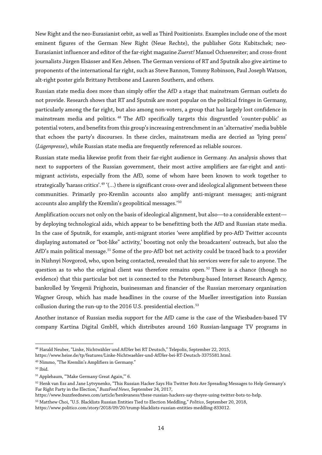New Right and the neo-Eurasianist orbit, as well as Third Positionists. Examples include one of the most eminent figures of the German New Right (Neue Rechte), the publisher Götz Kubitschek; neo-Eurasianist influencer and editor of the far-right magazine *Zuerst!* Manuel Ochsenreiter; and cross-front journalists Jürgen Elsässer and Ken Jebsen. The German versions of RT and Sputnik also give airtime to proponents of the international far right, such as Steve Bannon, Tommy Robinson, Paul Joseph Watson, alt-right poster girls Brittany Pettibone and Lauren Southern, and others.

Russian state media does more than simply offer the AfD a stage that mainstream German outlets do not provide. Research shows that RT and Sputnik are most popular on the political fringes in Germany, particularly among the far right, but also among non-voters, a group that has largely lost confidence in mainstream media and politics.<sup>48</sup> The AfD specifically targets this disgruntled 'counter-public' as potential voters, and benefits from this group's increasing entrenchment in an 'alternative' media bubble that echoes the party's discourses. In these circles, mainstream media are decried as 'lying press' (*Lügenpresse*), while Russian state media are frequently referenced as reliable sources.

Russian state media likewise profit from their far-right audience in Germany. An analysis shows that next to supporters of the Russian government, their most active amplifiers are far-right and antimigrant activists, especially from the AfD, some of whom have been known to work together to strategically 'harass critics'.<sup>[49](#page-13-1)</sup> '(...) there is significant cross-over and ideological alignment between these communities. Primarily pro-Kremlin accounts also amplify anti-migrant messages; anti-migrant accounts also amplify the Kremlin's geopolitical messages.' [50](#page-13-2)

Amplification occurs not only on the basis of ideological alignment, but also—to a considerable extent by deploying technological aids, which appear to be benefitting both the AfD and Russian state media. In the case of Sputnik, for example, anti-migrant stories 'were amplified by pro-AfD Twitter accounts displaying automated or "bot-like" activity,' boosting not only the broadcasters' outreach, but also the AfD's main political message.<sup>51</sup> Some of the pro-AfD bot net activity could be traced back to a provider in Nizhnyi Novgorod, who, upon being contacted, revealed that his services were for sale to anyone. The question as to who the original client was therefore remains open.<sup>52</sup> There is a chance (though no evidence) that this particular bot net is connected to the Petersburg-based Internet Research Agency, bankrolled by Yevgenii Prighozin, businessman and financier of the Russian mercenary organisation Wagner Group, which has made headlines in the course of the Mueller investigation into Russian collusion during the run-up to the 2016 U.S. presidential election.<sup>[53](#page-13-5)</sup>

Another instance of Russian media support for the AfD came is the case of the Wiesbaden-based TV company Kartina Digital GmbH, which distributes around 160 Russian-language TV programs in

https://www.heise.de/tp/features/Linke-Nichtwaehler-und-AfDler-bei-RT-Deutsch-3375581.html.

<span id="page-13-0"></span> $\overline{a}$  $^{48}\,$ Harald Neuber, "Linke, Nichtwähler und AfDler bei RT Deutsch," Telepolis, September 22, 2015,

<span id="page-13-1"></span><sup>49</sup> Nimmo, "The Kremlin's Amplifiers in Germany."

<span id="page-13-2"></span><sup>50</sup> Ibid.

<span id="page-13-3"></span><sup>51</sup> Applebaum, "'Make Germany Great Again,'" 6.

<span id="page-13-4"></span><sup>52</sup> Henk van Ess and Jane Lytvynenko, "This Russian Hacker Says His Twitter Bots Are Spreading Messages to Help Germany's Far Right Party in the Election," *BuzzFeed News*, September 24, 2017,

https://www.buzzfeednews.com/article/henkvaness/these-russian-hackers-say-theyre-using-twitter-bots-to-help.

<span id="page-13-5"></span><sup>53</sup> Matthew Choi, "U.S. Blacklists Russian Entities Tied to Election Meddling," *Politico*, September 20, 2018, https://www.politico.com/story/2018/09/20/trump-blacklists-russian-entities-meddling-833012.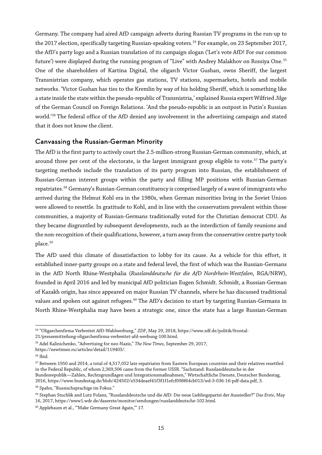Germany. The company had aired AfD campaign adverts during Russian TV programs in the run-up to the 2017 election, specifically targeting Russian-speaking voters.<sup>[54](#page-14-0)</sup> For example, on 23 September 2017, the AfD's party logo and a Russian translation of its campaign slogan ('Let's vote AfD! For our common future') were displayed during the running program of "Live" with Andrey Malakhov on Rossiya One.<sup>[55](#page-14-1)</sup> One of the shareholders of Kartina Digital, the oligarch Victor Gushan, owns Sheriff, the largest Transnistrian company, which operates gas stations, TV stations, supermarkets, hotels and mobile networks. 'Victor Gushan has ties to the Kremlin by way of his holding Sheriff, which is something like a state inside the state within the pseudo-republic of Transnistria,' explained Russia expert Wilfried Jilge of the German Council on Foreign Relations. 'And the pseudo-republic is an outpost in Putin's Russian world.' [56](#page-14-2) The federal office of the AfD denied any involvement in the advertising campaign and stated that it does not know the client.

#### Canvassing the Russian-German Minority

The AfD is the first party to actively court the 2.5-million-strong Russian-German community, which, at around three per cent of the electorate, is the largest immigrant group eligible to vote.<sup>[57](#page-14-3)</sup> The party's targeting methods include the translation of its party program into Russian, the establishment of Russian-German interest groups within the party and filling MP positions with Russian-German repatriates.<sup>[58](#page-14-4)</sup> Germany's Russian-German constituency is comprised largely of a wave of immigrants who arrived during the Helmut Kohl era in the 1980s, when German minorities living in the Soviet Union were allowed to resettle. In gratitude to Kohl, and in line with the conservatism prevalent within those communities, a majority of Russian-Germans traditionally voted for the Christian democrat CDU. As they became disgruntled by subsequent developments, such as the interdiction of family reunions and the non-recognition oftheir qualifications, however, a turn away from the conservative centre party took place.<sup>[59](#page-14-5)</sup>

The AfD used this climate of dissatisfaction to lobby for its cause. As a vehicle for this effort, it established inner-party groups on a state and federal level, the first of which was the Russian-Germans in the AfD North Rhine-Westphalia (*Russlanddeutsche für die AfD Nordrhein-Westfalen*, RGA/NRW), founded in April 2016 and led by municipal AfD politician Eugen Schmidt. Schmidt, a Russian-German of Kazakh origin, has since appeared on major Russian TV channels, where he has discussed traditional values and spoken out against refugees.<sup>[60](#page-14-6)</sup> The AfD's decision to start by targeting Russian-Germans in North Rhine-Westphalia may have been a strategic one, since the state has a large Russian-German

 $\overline{a}$ <sup>54</sup> "Oligarchenfirma Verbreitet AfD-Wahlwerbung," *ZDF*, May 29, 2018, https://www.zdf.de/politik/frontal-

<span id="page-14-0"></span><sup>21/</sup>pressemitteilung-oligarchenfirma-verbreitet-afd-werbung-100.html.

<span id="page-14-1"></span><sup>55</sup> Adel Kalinichenko, "Advertising for neo-Nazis," *The New Times*, September 29, 2017,

https://newtimes.ru/articles/detail/119403/.

<span id="page-14-2"></span><sup>56</sup> Ibid.

<span id="page-14-3"></span> $^{57}$  Between 1950 and 2014, a total of 4,517,052 late repatriates from Eastern European countries and their relatives resettled in the Federal Republic, of whom 2,369,506 came from the former USSR. "Sachstand: Russlanddeutsche in der Bundesrepublik—Zahlen, Rechtsgrundlagen und Integrationsmaßnahmen," Wirtschaftliche Dienste, Deutscher Bundestag,

<sup>2016,</sup> https://www.bundestag.de/blob/424502/e534deaef41f3f1f1efcf098f64cb013/wd-3-036-16-pdf-data.pdf, 3. <sup>58</sup> Spahn, "Russischsprachige im Fokus."

<span id="page-14-5"></span><span id="page-14-4"></span><sup>59</sup> Stephan Stuchlik and Lutz Polanz, "Russlanddeutsche und die AfD: Die neue Lieblingspartei der Aussiedler?" *Das Erste*, May 16, 2017, https://www1.wdr.de/daserste/monitor/sendungen/russlanddeutsche-102.html.

<span id="page-14-6"></span><sup>60</sup> Applebaum et al., "'Make Germany Great Again,'" 17.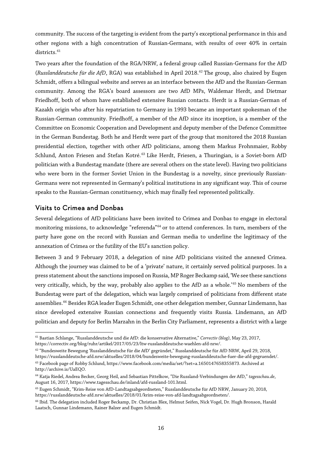community. The success of the targeting is evident from the party's exceptional performance in this and other regions with a high concentration of Russian-Germans, with results of over 40% in certain districts.<sup>[61](#page-15-0)</sup>

Two years after the foundation of the RGA/NRW, a federal group called Russian-Germans for the AfD (*Russlanddeutsche für die AfD*, RGA) was established in April 2018.[62](#page-15-1) The group, also chaired by Eugen Schmidt, offers a bilingual website and serves as an interface between the AfD and the Russian-German community. Among the RGA's board assessors are two AfD MPs, Waldemar Herdt, and Dietmar Friedhoff, both of whom have established extensive Russian contacts. Herdt is a Russian-German of Kazakh origin who after his repatriation to Germany in 1993 became an important spokesman of the Russian-German community. Friedhoff, a member of the AfD since its inception, is a member of the Committee on Economic Cooperation and Development and deputy member of the Defence Committee in the German Bundestag. Both he and Herdt were part of the group that monitored the 2018 Russian presidential election, together with other AfD politicians, among them Markus Frohnmaier, Robby Schlund, Anton Friesen and Stefan Kotré.<sup>[63](#page-15-2)</sup> Like Herdt, Friesen, a Thuringian, is a Soviet-born AfD politician with a Bundestag mandate (there are several others on the state level). Having two politicians who were born in the former Soviet Union in the Bundestag is a novelty, since previously Russian-Germans were not represented in Germany's political institutions in any significant way. This of course speaks to the Russian-German constituency, which may finally feel represented politically.

#### Visits to Crimea and Donbas

Several delegations of AfD politicians have been invited to Crimea and Donbas to engage in electoral monitoring missions, to acknowledge "referenda"<sup>[64](#page-15-3)</sup> or to attend conferences. In turn, members of the party have gone on the record with Russian and German media to underline the legitimacy of the annexation of Crimea or the futility of the EU's sanction policy.

Between 3 and 9 February 2018, a delegation of nine AfD politicians visited the annexed Crimea. Although the journey was claimed to be of a 'private' nature, it certainly served political purposes. In a press statement about the sanctions imposed on Russia, MP Roger Beckamp said, 'We see these sanctions very critically, which, by the way, probably also applies to the AfD as a whole.'[65](#page-15-4) No members of the Bundestag were part of the delegation, which was largely comprised of politicians from different state assemblies.<sup>[66](#page-15-5)</sup> Besides RGA leader Eugen Schmidt, one other delegation member, Gunnar Lindemann, has since developed extensive Russian connections and frequently visits Russia. Lindemann, an AfD politician and deputy for Berlin Marzahn in the Berlin City Parliament, represents a district with a large

<span id="page-15-0"></span> $\overline{a}$ <sup>61</sup> Bastian Schlange, "Russlanddeutsche und die AfD: die konservative Alternative," *Correctiv (blog)*, May 23, 2017, https://correctiv.org/blog/ruhr/artikel/2017/05/23/ltw-russlanddeutsche-waehlen-afd-nrw/.

<span id="page-15-1"></span><sup>62</sup> "Bundesweite Bewegung 'Russlanddeutsche für die AfD' gegründet," Russlanddeutsche für AfD NRW, April 29, 2018, https://russlanddeutsche-afd.nrw/aktuelles/2018/04/bundesweite-bewegung-russlanddeutsche-fuer-die-afd-gegruendet/. <sup>63</sup> Facebook page of Robby Schlund, https://www.facebook.com/media/set/?set=a.1650147658355873. Archived at http://archive.is/UaEQO.

<span id="page-15-3"></span><span id="page-15-2"></span><sup>64</sup> Katja Riedel, Andrea Becker, Georg Heil, and Sebastian Pittelkow, "Die Russland-Verbindungen der AfD," *tagesschau.de*, August 16, 2017, https://www.tagesschau.de/inland/afd-russland-101.html.

<span id="page-15-4"></span><sup>65</sup> Eugen Schmidt, "Krim-Reise von AfD-Landtagsabgeordneten," Russlanddeutsche für AfD NRW, January 20, 2018, https://russlanddeutsche-afd.nrw/aktuelles/2018/01/krim-reise-von-afd-landtagsabgeordneten/.

<span id="page-15-5"></span><sup>&</sup>lt;sup>66</sup> Ibid. The delegation included Roger Beckamp, Dr. Christian Blex, Helmut Seifen, Nick Vogel, Dr. Hugh Bronson, Harald Laatsch, Gunnar Lindemann, Rainer Balzer and Eugen Schmidt.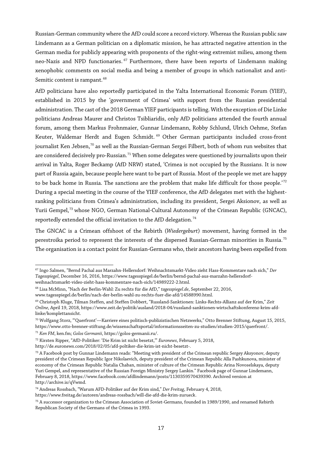Russian-German community where the AfD could score a record victory. Whereas the Russian public saw Lindemann as a German politician on a diplomatic mission, he has attracted negative attention in the German media for publicly appearing with proponents of the right-wing extremist milieu, among them neo-Nazis and NPD functionaries.<sup>[67](#page-16-0)</sup> Furthermore, there have been reports of Lindemann making xenophobic comments on social media and being a member of groups in which nationalist and anti-Semitic content is rampant.<sup>[68](#page-16-1)</sup>

AfD politicians have also reportedly participated in the Yalta International Economic Forum (YIEF), established in 2015 by the 'government of Crimea' with support from the Russian presidential administration. The cast of the 2018 German YIEF participants is telling. With the exception of Die Linke politicians Andreas Maurer and Christos Tsibliaridis, only AfD politicians attended the fourth annual forum, among them Markus Frohnmaier, Gunnar Lindemann, Robby Schlund, Ulrich Oehme, Stefan Keuter, Waldemar Herdt and Eugen Schmidt.<sup>[69](#page-16-2)</sup> Other German participants included cross-front journalist Ken Jebsen,<sup>[70](#page-16-3)</sup> as well as the Russian-German Sergei Filbert, both of whom run websites that are considered decisively pro-Russian.<sup>71</sup> When some delegates were questioned by journalists upon their arrival in Yalta, Roger Beckamp (AfD NRW) stated, 'Crimea is not occupied by the Russians. It is now part of Russia again, because people here want to be part of Russia. Most of the people we met are happy to be back home in Russia. The sanctions are the problem that make life difficult for those people.<sup>'[72](#page-16-5)</sup> During a special meeting in the course of the YIEF conference, the AfD delegates met with the highestranking politicians from Crimea's administration, including its president, Sergei Aksionov, as well as Yurii Gempel,<sup>[73](#page-16-6)</sup> whose NGO, German National-Cultural Autonomy of the Crimean Republic (GNCAC), reportedly extended the official invitation to the AfD delegation.<sup>[74](#page-16-7)</sup>

The GNCAC is a Crimean offshoot of the Rebirth (*Wiedergeburt*) movement, having formed in the perestroika period to represent the interests of the dispersed Russian-German minorities in Russia.<sup>[75](#page-16-8)</sup> The organisation is a contact point for Russian-Germans who, their ancestors having been expelled from

www.tagesspiegel.de/berlin/nach-der-berlin-wahl-zu-rechts-fuer-die-afd/14588990.html.

<span id="page-16-0"></span> $\overline{a}$ <sup>67</sup> Ingo Salmen, "Bernd Pachal aus Marzahn-Hellersdorf: Weihnachtsmarkt-Video zieht Hass-Kommentare nach sich," *Der Tagesspiegel*, December 16, 2016, https://www.tagesspiegel.de/berlin/bernd-pachal-aus-marzahn-hellersdorfweihnachtsmarkt-video-zieht-hass-kommentare-nach-sich/14989222-2.html.

<span id="page-16-1"></span><sup>68</sup> Lisa McMinn, "Nach der Berlin-Wahl: Zu rechts für die AfD," *tagesspiegel.de*, September 22, 2016,

<span id="page-16-2"></span><sup>69</sup> Christoph Kluge, Tilman Steffen, and Steffen Dobbert, "Russland-Sanktionen: Links-Rechts-Allianz auf der Krim," *Zeit Online*, April 19, 2018, https://www.zeit.de/politik/ausland/2018-04/russland-sanktionen-wirtschaftskonferenz-krim-afdlinke/komplettansicht.

<span id="page-16-3"></span><sup>70</sup> Wolfgang Storz, "'Querfront'—Karriere eines politisch-publizistischen Netzwerks," Otto Brenner Stiftung, August 15, 2015, https://www.otto-brenner-stiftung.de/wissenschaftsportal/informationsseiten-zu-studien/studien-2015/querfront/.

<span id="page-16-4"></span><sup>71</sup> *Ken FM*, ken.fm; *Golos Germanii*, https://golos-germanii.ru/.

<span id="page-16-5"></span><sup>72</sup> Kirsten Ripper, "AfD-Politiker: 'Die Krim ist nicht besetzt,'" *Euronews*, February 5, 2018,

http://de.euronews.com/2018/02/05/afd-poltiker-die-krim-ist-nicht-besetzt-.

<span id="page-16-6"></span> $^{73}$  A Facebook post by Gunnar Lindemann reads: "Meeting with president of the Crimean republic Sergey Aksyonov, deputy president of the Crimean Republic Igor Nikolaevich, deputy president of the Crimean Republic Alla Pashkunova, minister of economy of the Crimean Republic Natalia Chaban, minister of culture of the Crimean Republic Arina Novoselskaya, deputy Yuri Gempel, and representative of the Russian Foreign Ministry Sergey Lankin." Facebook page of Gunnar Lindemann, February 8, 2018, https://www.facebook.com/afdlindemann/posts/1130359570439390. Archived version at http://archive.is/qVwmd.

<sup>74</sup> Andreas Rossbach, "Warum AFD-Politiker auf der Krim sind," *Der Freitag*, February 4, 2018,

<span id="page-16-7"></span>https://www.freitag.de/autoren/andreas-rossbach/will-die-afd-die-krim-zurueck.

<span id="page-16-8"></span><sup>75</sup> A successor organization to the Crimean Association of Soviet-Germans, founded in 1989/1990, and renamed Rebirth Republican Society of the Germans of the Crimea in 1993.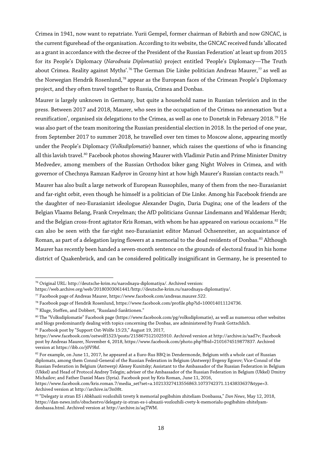Crimea in 1941, now want to repatriate. Yurii Gempel, former chairman of Rebirth and now GNCAC, is the current figurehead of the organisation. According to its website, the GNCAC received funds 'allocated as a grant in accordance with the decree of the President of the Russian Federation' at least up from 2015 for its People's Diplomacy (*Narodnaia Diplomatiia*) project entitled 'People's Diplomacy—The Truth about Crimea. Reality against Myths'.<sup>[76](#page-17-0)</sup> The German Die Linke politician Andreas Maurer,<sup>[77](#page-17-1)</sup> as well as the Norwegian Hendrik Rosenlund,<sup>[78](#page-17-2)</sup> appear as the European faces of the Crimean People's Diplomacy project, and they often travel together to Russia, Crimea and Donbas.

Maurer is largely unknown in Germany, but quite a household name in Russian television and in the press. Between 2017 and 2018, Maurer, who sees in the occupation of the Crimea no annexation 'but a reunification', organised six delegations to the Crimea, as well as one to Donetsk in February 2018.<sup>[79](#page-17-3)</sup> He was also part of the team monitoring the Russian presidential election in 2018. In the period of one year, from September 2017 to summer 2018, he travelled over ten times to Moscow alone, appearing mostly under the People's Diplomacy (*Volksdiplomatie*) banner, which raises the questions of who is financing all this lavish travel.<sup>[80](#page-17-4)</sup> Facebook photos showing Maurer with Vladimir Putin and Prime Minister Dmitry Medvedev, among members of the Russian Orthodox biker gang Night Wolves in Crimea, and with governor of Chechnya Ramzan Kadyrov in Grozny hint at how high Maurer's Russian contacts reach.<sup>[81](#page-17-5)</sup>

Maurer has also built a large network of European Russophiles, many of them from the neo-Eurasianist and far-right orbit, even though he himself is a politician of Die Linke. Among his Facebook friends are the daughter of neo-Eurasianist ideologue Alexander Dugin, Daria Dugina; one of the leaders of the Belgian Vlaams Belang, Frank Creyelman; the AfD politicians Gunnar Lindemann and Waldemar Herdt; and the Belgian cross-front agitator Kris Roman, with whom he has appeared on various occasions.<sup>[82](#page-17-6)</sup> He can also be seen with the far-right neo-Eurasianist editor Manuel Ochsenreiter, an acquaintance of Roman, as part of a delegation laying flowers at a memorial to the dead residents of Donbas.<sup>[83](#page-17-7)</sup> Although Maurer has recently been handed a seven-month sentence on the grounds of electoral fraud in his home district of Quakenbrück, and can be considered politically insignificant in Germany, he is presented to

<sup>81</sup> Facebook post by "Support Ost-Wölfe 15:23," August 19, 2017,

 $\overline{a}$ <sup>76</sup> Original URL: http://deutsche-krim.ru/narodnaya-diplomatiya/. Archived version:

<span id="page-17-0"></span>https://web.archive.org/web/20180303061441/http://deutsche-krim.ru/narodnaya-diplomatiya/.

<span id="page-17-1"></span><sup>77</sup> Facebook page of Andreas Maurer, https://www.facebook.com/andreas.maurer.522.

<span id="page-17-2"></span><sup>78</sup> Facebook page of Hendrik Rosenlund, https://www.facebook.com/profile.php?id=100014011124736.

<span id="page-17-3"></span><sup>79</sup> Kluge, Steffen, and Dobbert, "Russland-Sanktionen."

<span id="page-17-4"></span><sup>80</sup> The "Volksdiplomatie" Facebook page (https://www.facebook.com/pg/volksdiplomatie), as well as numerous other websites and blogs predominantly dealing with topics concerning the Donbas, are administered by Frank Gottschlich.

<span id="page-17-5"></span>https://www.facebook.com/ostwolf1523/posts/2158675121025910. Archived version at http://archive.is/xad7v; Facebook post by Andreas Maurer, November 4, 2018, https://www.facebook.com/photo.php?fbid=2101674519877837. Archived version at https://ibb.co/j0V9hf.

<span id="page-17-6"></span> $82$  For example, on June 11, 2017, he appeared at a Euro-Rus BBQ in Dendermonde, Belgium with a whole cast of Russian diplomats, among them Consul-General of the Russian Federation in Belgium (Antwerp) Evgeny Egorov; Vice-Consul of the Russian Federation in Belgium (Antwerp) Alexey Kunitsky; Assistant to the Ambassador of the Russian Federation in Belgium (Ukkel) and Head of Protocol Andrey Telegin; adviser of the Ambassador of the Russian Federation in Belgium (Ukkel) Dmitry Michailov; and Father Daniel Maes (Syria). Facebook post by Kris Roman, June 11, 2016,

https://www.facebook.com/kris.roman.7/media\_set?set=a.10213327413556863.1073742371.1143833637&type=3. Archived version at http://archive.is/3n08t.

<span id="page-17-7"></span><sup>83</sup> "Delegaty iz stran ES i Abkhazii vozlozhili tsvety k memorial pogibshim zhiteliam Donbassa," *Dan News*, May 12, 2018, https://dan-news.info/obschestvo/delegaty-iz-stran-es-i-abxazii-vozlozhili-cvety-k-memorialu-pogibshim-zhitelyamdonbassa.html. Archived version at http://archive.is/aqTWM.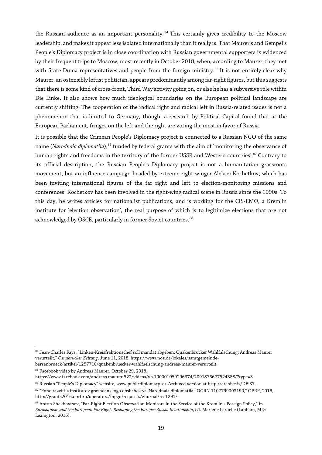the Russian audience as an important personality.<sup>[84](#page-18-0)</sup> This certainly gives credibility to the Moscow leadership, and makes it appear less isolated internationally than it really is. That Maurer's and Gempel's People's Diplomacy project is in close coordination with Russian governmental supporters is evidenced by their frequent trips to Moscow, most recently in October 2018, when, according to Maurer, they met with State Duma representatives and people from the foreign ministry.<sup>[85](#page-18-1)</sup> It is not entirely clear why Maurer, an ostensibly leftist politician, appears predominantly among far-right figures, but this suggests that there is some kind of cross-front, Third Way activity going on, or else he has a subversive role within Die Linke. It also shows how much ideological boundaries on the European political landscape are currently shifting. The cooperation of the radical right and radical left in Russia-related issues is not a phenomenon that is limited to Germany, though: a research by Political Capital found that at the European Parliament, fringes on the left and the right are voting the most in favor of Russia.

It is possible that the Crimean People's Diplomacy project is connected to a Russian NGO of the same name (*Narodnaia diplomatiia*),<sup>[86](#page-18-2)</sup> funded by federal grants with the aim of 'monitoring the observance of human rights and freedoms in the territory of the former USSR and Western countries'.<sup>[87](#page-18-3)</sup> Contrary to its official description, the Russian People's Diplomacy project is not a humanitarian grassroots movement, but an influence campaign headed by extreme right-winger Aleksei Kochetkov, which has been inviting international figures of the far right and left to election-monitoring missions and conferences. Kochetkov has been involved in the right-wing radical scene in Russia since the 1990s. To this day, he writes articles for nationalist publications, and is working for the CIS-EMO, a Kremlin institute for 'election observation', the real purpose of which is to legitimize elections that are not acknowledged by OSCE, particularly in former Soviet countries.<sup>[88](#page-18-4)</sup>

<span id="page-18-0"></span> $\overline{a}$ <sup>84</sup> Jean-Charles Fays, "Linken-Kreisfraktionschef soll mandat abgeben: Quakenbrücker Wahlfälschung: Andreas Maurer verurteilt," *Osnabrücker Zeitung*, June 11, 2018, https://www.noz.de/lokales/samtgemeindebersenbrueck/artikel/1257710/quakenbruecker-wahlfaelschung-andreas-maurer-verurteilt.

<span id="page-18-1"></span><sup>&</sup>lt;sup>85</sup> Facebook video by Andreas Maurer, October 29, 2018,

https://www.facebook.com/andreas.maurer.522/videos/vb.100001059296674/2091875677524388/?type=3.

<span id="page-18-2"></span><sup>86</sup> Russian "People's Diplomacy" website, www.publicdiplomacy.su. Archived version at http://archive.is/DEl37.

<span id="page-18-3"></span><sup>87</sup> "Fond razvitiia institutov grazhdanskogo obshchestva 'Narodnaia diplomatiia,' OGRN 1107799003190," OPRF, 2016, http://grants2016.oprf.ru/operators/inpgo/requests/zhurnal/rec1291/.

<span id="page-18-4"></span><sup>88</sup> Anton Shekhovtsov, "Far-Right Election Observation Monitors in the Service of the Kremlin's Foreign Policy," in *Eurasianism and the European Far Right. Reshaping the Europe–Russia Relationship*, ed. Marlene Laruelle (Lanham, MD: Lexington, 2015).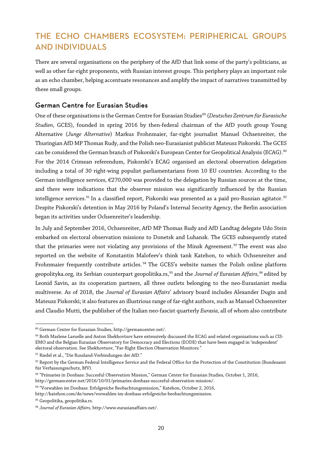# THE ECHO CHAMBERS ECOSYSTEM: PERIPHERICAL GROUPS AND INDIVIDUALS

There are several organisations on the periphery of the AfD that link some of the party's politicians, as well as other far-right proponents, with Russian interest groups. This periphery plays an important role as an echo chamber, helping accentuate resonances and amplify the impact of narratives transmitted by these small groups.

#### German Centre for Eurasian Studies

One ofthese organisations is the German Centre for Eurasian Studies[89](#page-19-0) (*Deutsches Zentrum für Eurasische Studien*, GCES), founded in spring 2016 by then-federal chairman of the AfD youth group Young Alternative (*Junge Alternative*) Markus Frohnmaier, far-right journalist Manuel Ochsenreiter, the Thuringian AfD MP Thomas Rudy, and the Polish neo-Eurasianist publicist Mateusz Piskorski. The GCES can be considered the German branch of Piskorski's European Center for Geopolitical Analysis (ECAG).<sup>[90](#page-19-1)</sup> For the 2014 Crimean referendum, Piskorski's ECAG organised an electoral observation delegation including a total of 30 right-wing populist parliamentarians from 10 EU countries. According to the German intelligence services, €270,000 was provided to the delegation by Russian sources at the time, and there were indications that the observer mission was significantly influenced by the Russian intelligence services.<sup>[91](#page-19-2)</sup> In a classified report, Piskorski was presented as a paid pro-Russian agitator.<sup>[92](#page-19-3)</sup> Despite Piskorski's detention in May 2016 by Poland's Internal Security Agency, the Berlin association began its activities under Ochsenreiter's leadership.

In July and September 2016, Ochsenreiter, AfD MP Thomas Rudy and AfD Landtag delegate Udo Stein embarked on electoral observation missions to Donetsk and Luhansk. The GCES subsequently stated that the primaries were not violating any provisions of the Minsk Agreement.<sup>[93](#page-19-4)</sup> The event was also reported on the website of Konstantin Malofeev's think tank Katehon, to which Ochsenreiter and Frohnmaier frequently contribute articles.<sup>[94](#page-19-5)</sup> The GCES's website names the Polish online platform geopolityka.org, its Serbian counterpart geopolitika.rs,[95](#page-19-6) and the *Journal of Eurasian Affairs,*[96](#page-19-7) edited by Leonid Savin, as its cooperation partners, all three outlets belonging to the neo-Eurasianist media multiverse. As of 2018, the *Journal of Eurasian Affairs*' advisory board includes Alexander Dugin and Mateusz Piskorski; it also features an illustrious range of far-right authors, such as Manuel Ochsenreiter and Claudio Mutti, the publisher of the Italian neo-fascist quarterly *Eurasia,* all of whom also contribute

 $\overline{a}$ <sup>89</sup> German Center for Eurasian Studies, http://germancenter.net/.

<span id="page-19-1"></span><span id="page-19-0"></span><sup>90</sup> Both Marlene Laruelle and Anton Shekhovtsov have extensively discussed the ECAG and related organisations such as CIS-EMO and the Belgian Eurasian Observatory for Democracy and Elections (EODE) that have been engaged in 'independent' electoral observation. See Shekhovtsov, "Far-Right Election Observation Monitors."

<span id="page-19-2"></span><sup>91</sup> Riedel et al., "Die Russland-Verbindungen der AfD."

<span id="page-19-3"></span><sup>92</sup> Report by the German Federal Intelligence Service and the Federal Office for the Protection of the Constitution (Bundesamt für Verfassungsschutz, BfV).

<span id="page-19-4"></span><sup>93</sup> "Primaries in Donbass: Succesful Observation Mission," German Center for Eurasian Studies, October 1, 2016, http://germancenter.net/2016/10/01/primaries-donbass-succesful-observation-mission/.

<span id="page-19-5"></span><sup>94</sup> "Vorwahlen im Donbass: Erfolgreiche Beobachtungsmission," Katehon, October 2, 2016, http://katehon.com/de/news/vorwahlen-im-donbass-erfolgreiche-beobachtungsmission.

<span id="page-19-6"></span><sup>95</sup> Geopolitika, geopolitika.rs.

<span id="page-19-7"></span><sup>96</sup> *Journal of Eurasian Affairs*, http://www.eurasianaffairs.net/.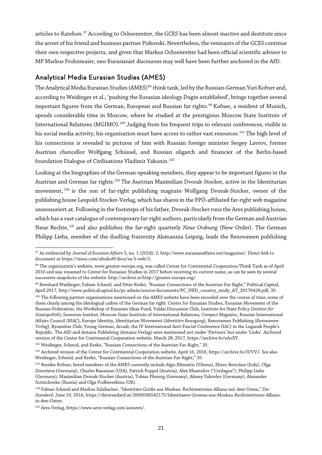articles to Katehon.<sup>[97](#page-20-0)</sup> According to Ochsenreiter, the GCES has been almost inactive and destitute since the arrest of his friend and business partner Piskorski. Nevertheless, the remnants of the GCES continue their own respective projects, and given that Markus Ochsenreiter had been official scientific advisor to MP Markus Frohnmaier, neo-Eurasianist discourses may well have been further anchored in the AfD.

#### Analytical Media Eurasian Studies (AMES)

The Analytical Media Eurasian Studies (AMES)<sup>[98](#page-20-1)</sup> think tank, led by the Russian-German Yuri Kofner and, according to Weidinger et al., 'pushing the Eurasian ideology Dugin established', brings together several important figures from the German, European and Russian far rights.<sup>[99](#page-20-2)</sup> Kofner, a resident of Munich, spends considerable time in Moscow, where he studied at the prestigious Moscow State Institute of International Relations (MGIMO).<sup>[100](#page-20-3)</sup> Judging from his frequent trips to relevant conferences, visible in his social media activity, his organisation must have access to rather vast resources.<sup>[101](#page-20-4)</sup> The high level of his connections is revealed in pictures of him with Russian foreign minister Sergey Lavrov, former Austrian chancellor Wolfgang Schüssel, and Russian oligarch and financier of the Berlin-based foundation Dialogue of Civilisations Vladimir Yakunin.<sup>[102](#page-20-5)</sup>

Looking at the biographies of the German-speaking members, they appear to be important figures in the Austrian and German far rights.<sup>[103](#page-20-6)</sup> The Austrian Maximilian Dvorak-Stocker, active in the Identitarian movement, [104](#page-20-7) is the son of far-right publishing magnate Wolfgang Dvorak-Stocker, owner of the publishing house Leopold-Stocker-Verlag, which has shares in the FPÖ-affiliated far-right web magazine unzensuriert.at. Following in the footsteps of his father, Dvorak-Stocker runs the Ares publishing house, which has a vast catalogue of contemporary far-right authors, particularly from the German and Austrian Neue Rechte, [105](#page-20-8) and also publishes the far-right quarterly *Neue Ordnung* (New Order). The German Philipp Liehs, member of the duelling fraternity Alemannia Leipzig, leads the Renovamen publishing

<span id="page-20-4"></span><sup>101</sup> Weidinger, Schmid, and Krekó, "Russian Connections of the Austrian Far-Right," 35.

<span id="page-20-0"></span> $\overline{a}$ <sup>97</sup> As evidenced by *Journal of Eurasian Affairs* 5, no. 1 (2018): 2, http://www.eurasianaffairs.net/magazine/. Direct link to document at https://issuu.com/altuhoff/docs/ea-5-web/2.

<span id="page-20-1"></span><sup>98</sup> The organisation's website, www.greater-europe.org, was called Center for Continental Cooperation/Think Tank as of April 2016 and was renamed to Center for Eurasian Studies in 2017 before receiving its current name, as can be seen by several successive snapshots of the website: http://archive.is/http://greater-europe.org/.

<span id="page-20-3"></span><span id="page-20-2"></span><sup>99</sup> Bernhard Weidinger, Fabian Schmid, and Péter Krekó, "Russian Connections of the Austrian Far-Right," Political Capital, April 2017, http://www.politicalcapital.hu/pc-admin/source/documents/PC\_NED\_country\_study\_AT\_20170428.pdf, 35. <sup>100</sup> The following partner organisations mentioned on the AMES website have been recorded over the course of time, some of them clearly among the ideological cadres of the German far right: Center for Eurasian Studies, Eurasian Movement of the Russian Federation, the Workshop of Eurasian Ideas Fund, Valdai Discussion Club, Institute for State Policy (*Institut für Staatspolitik*), Suworow Institut, Moscow State Institute of International Relations, *Compact Magazine*, Russian International Affairs Council (RIAC), Europe Identity, Identitarian Movement (*Identitäre Bewegung*), Renovamen Publishing (*Renovamen-Verlag*), Byzantine Club, Young German, Arcadi, the IV International Anti-Fascist Conference (IAC) in the Lugansk People's Republic. The AfD and Antaios Publishing (Antaios Verlag) were mentioned not under 'Partners' but under 'Links'. Archived version of the Center for Continental Cooperation website, March 28, 2017, https://archive.fo/xAoEY.

<span id="page-20-5"></span><sup>102</sup> Archived version of the Center for Continental Cooperation website, April 16, 2016, https://archive.fo/IUVVJ. See also Weidinger, Schmid, and Krekó, "Russian Connections of the Austrian Far-Right," 35.

<span id="page-20-6"></span><sup>&</sup>lt;sup>103</sup> Besides Kofner, listed members of the AMES currently include Algis Klimaitis (Vilnius), Eliseo Bertolasi (Italy), Olga Zinovieva (Germany), Charles Bausman (USA), Patrick Poppel (Austria), Alex Khamidov ("Cerdagne"), Philipp Liehs (Germany), Maximilian Dvorak-Stocker (Austria), Tobias Pfennig (Germany), Alexey Yakovlev (Germany), Alexander Sotnichenko (Russia) and Olga Podberezkina (UK).

<span id="page-20-7"></span><sup>104</sup> Fabian Schmid and Markus Sulzbacher, "Identitäre Grüße aus Moskau: Rechtsextreme Allianz mit dem Osten," *Der Standard*, June 10, 2016, https://derstandard.at/2000038542175/Identitaere-Gruesse-aus-Moskau-Rechtsextreme-Allianzin-den-Osten.

<span id="page-20-8"></span><sup>105</sup> Ares-Verlag, https://www.ares-verlag.com/autoren/.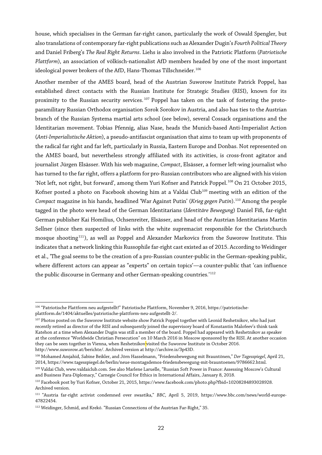house, which specialises in the German far-right canon, particularly the work of Oswald Spengler, but also translations of contemporary far-right publications such as AlexanderDugin's *Fourth Political Theory* and Daniel Friberg's *The Real Right Returns*. Liehs is also involved in the Patriotic Platform (*Patriotische Plattform*), an association of völkisch-nationalist AfD members headed by one of the most important ideological power brokers of the AfD, Hans-Thomas Tillschneider.<sup>[106](#page-21-0)</sup>

Another member of the AMES board, head of the Austrian Suworow Institute Patrick Poppel, has established direct contacts with the Russian Institute for Strategic Studies (RISI), known for its proximity to the Russian security services.<sup>[107](#page-21-1)</sup> Poppel has taken on the task of fostering the protoparamilitary Russian Orthodox organisation Sorok Sorokov in Austria, and also has ties to the Austrian branch of the Russian Systema martial arts school (see below), several Cossack organisations and the Identitarian movement. Tobias Pfennig, alias Nase, heads the Munich-based Anti-Imperialist Action (*Anti-Imperialistische Aktion*), a pseudo-antifascist organisation that aims to team up with proponents of the radical far right and far left, particularly in Russia, Eastern Europe and Donbas. Not represented on the AMES board, but nevertheless strongly affiliated with its activities, is cross-front agitator and journalist Jürgen Elsässer. With his web magazine, *Compact*, Elsässer, a former left-wing journalist who has turned to the farright, offers a platform for pro-Russian contributors who are aligned with his vision 'Not left, not right, but forward', among them Yuri Kofner and Patrick Poppel.<sup>[108](#page-21-2)</sup> On 21 October 2015, Kofner posted a photo on Facebook showing him at a Valdai Club<sup>[109](#page-21-3)</sup> meeting with an edition of the *Compact* magazine in his hands, headlined 'War Against Putin' (*Krieg gegen Putin*).[110](#page-21-4) Among the people tagged in the photo were head of the German Identitarians (*Identitäre Bewegung*) Daniel Fiß, far-right German publisher Kai Homilius, Ochsenreiter, Elsässer, and head of the Austrian Identitarians Martin Sellner (since then suspected of links with the white supremacist responsible for the Christchurch mosque shooting<sup>[111](#page-21-5)</sup>), as well as Poppel and Alexander Markovics from the Suworow Institute. This indicates that a network linking this Russophile far-right cast existed as of 2015. According to Weidinger et al., 'The goal seems to be the creation of a pro-Russian counter-public in the German-speaking public, where different actors can appear as "experts" on certain topics'—a counter-public that 'can influence the public discourse in Germany and other German-speaking countries*.*' [112](#page-21-6)

<span id="page-21-0"></span> $\overline{a}$ <sup>106</sup> "Patriotische Plattform neu aufgestellt!" Patriotische Plattform, November 9, 2016, https://patriotischeplattform.de/1404/aktuelles/patriotische-plattform-neu-aufgestellt-2/.

<span id="page-21-1"></span><sup>&</sup>lt;sup>107</sup> Photos posted on the Suworow Institute website show Patrick Poppel together with Leonid Reshetnikov, who had just recently retired as director of the RISI and subsequently joined the supervisory board of Konstantin Malofeev's think tank Katehon at a time when Alexander Dugin was still a member of the board. Poppel had appeared with Reshetnikov as speaker at the conference "Worldwide Christian Persecution" on 10 March 2016 in Moscow sponsored by the RISI. At another occasion they can be seen together in Vienna, when Reshetnikov visited the Suworow Institute in October 2016. http://www.suworow.at/berichte/. Archived version at http://archive.is/3p43D.

<span id="page-21-2"></span><sup>108</sup> Mohamed Amjahid, Sabine Beikler, and Jörn Hasselmann, "Friedensbewegung mit Brauntönen," *Der Tagesspiegel*, April 21, 2014, https://www.tagesspiegel.de/berlin/neue-montagsdemos-friedensbewegung-mit-brauntoenen/9786662.html.

<span id="page-21-3"></span><sup>109</sup> Valdai Club, www.valdaiclub.com. See also Marlene Laruelle, "Russian Soft Power in France: Assessing Moscow's Cultural and Business Para-Diplomacy," Carnegie Council for Ethics in International Affairs, January 8, 2018.

<span id="page-21-4"></span><sup>110</sup> Facebook post by Yuri Kofner, October 21, 2015, https://www.facebook.com/photo.php?fbid=10208284893028928. Archived version.

<span id="page-21-5"></span><sup>111</sup> "Austria far-right activist condemned over swastika," *BBC*, April 5, 2019, [https://www.bbc.com/news/world-europe-](https://www.bbc.com/news/world-europe-47822454)[47822454.](https://www.bbc.com/news/world-europe-47822454)

<span id="page-21-6"></span><sup>112</sup> Weidinger, Schmid, and Krekó. "Russian Connections of the Austrian Far-Right," 35.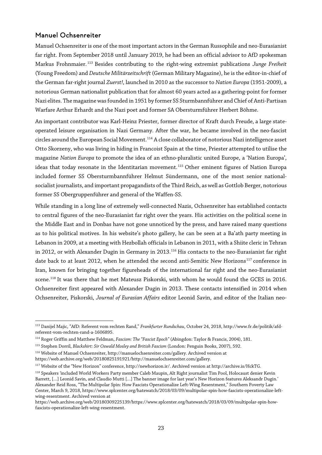#### Manuel Ochsenreiter

Manuel Ochsenreiter is one of the most important actors in the German Russophile and neo-Eurasianist far right. From September 2018 until January 2019, he had been an official advisor to AfD spokesman Markus Frohnmaier. [113](#page-22-0) Besides contributing to the right-wing extremist publications *Junge Freiheit* (Young Freedom) and *Deutsche Militärzeitschrift* (German Military Magazine), he is the editor-in-chief of the German far-right journal *Zuerst!*, launched in 2010 as the successor to *Nation Europa* (1951-2009), a notorious German nationalist publication that for almost 60 years acted as a gathering-point for former Nazi elites. The magazine was founded in 1951 by former SS Sturmbannführer and Chief of Anti-Partisan Warfare Arthur Erhardt and the Nazi poet and former SA Obersturmführer Herbert Böhme.

An important contributor was Karl-Heinz Priester, former director of Kraft durch Freude, a large stateoperated leisure organisation in Nazi Germany. After the war, he became involved in the neo-fascist circles around the European Social Movement.<sup>[114](#page-22-1)</sup> A close collaborator of notorious Nazi intelligence asset Otto Skorzeny, who was living in hiding in Francoist Spain at the time, Priester attempted to utilise the magazine *Nation Europa* to promote the idea of an ethno-pluralistic united Europe, a 'Nation Europa', ideas that today resonate in the Identitarian movement.<sup>[115](#page-22-2)</sup> Other eminent figures of Nation Europa included former SS Obersturmbannführer Helmut Sündermann, one of the most senior nationalsocialist journalists, and important propagandists of the Third Reich, as well as Gottlob Berger, notorious former SS Obergruppenführer and general of the Waffen-SS.

While standing in a long line of extremely well-connected Nazis, Ochsenreiter has established contacts to central figures of the neo-Eurasianist far right over the years. His activities on the political scene in the Middle East and in Donbas have not gone unnoticed by the press, and have raised many questions as to his political motives. In his website's photo gallery, he can be seen at a Ba'ath party meeting in Lebanon in 2009, at a meeting with Hezbollah officials in Lebanon in 2011, with a Shiite cleric in Tehran in 2012, or with Alexander Dugin in Germany in 2013.<sup>[116](#page-22-3)</sup> His contacts to the neo-Eurasianist far right date back to at least 2012, when he attended the second anti-Semitic New Horizons<sup>[117](#page-22-4)</sup> conference in Iran, known for bringing together figureheads of the international far right and the neo-Eurasianist scene.[118](#page-22-5) It was there that he met Mateusz Piskorski, with whom he would found the GCES in 2016. Ochsenreiter first appeared with Alexander Dugin in 2013. These contacts intensified in 2014 when Ochsenreiter, Piskorski, *Journal of Eurasian Affairs* editor Leonid Savin, and editor of the Italian neo-

<span id="page-22-0"></span> $\overline{a}$ <sup>113</sup> Danijel Majic, "AfD: Referent vom rechten Rand," *Frankfurter Rundschau*, October 24, 2018, http://www.fr.de/politik/afdreferent-vom-rechten-rand-a-1606895.

<span id="page-22-1"></span><sup>114</sup> Roger Griffin and Matthew Feldman, *Fascism: The "Fascist Epoch"* (Abingdon: Taylor & Francis, 2004), 181.

<sup>115</sup> Stephen Dorril, *Blackshirt: Sir Oswald Mosley and British Fascism* (London: Penguin Books, 2007), 592.

<span id="page-22-3"></span><span id="page-22-2"></span><sup>116</sup> Website of Manuel Ochsenreiter, http://manuelochsenreiter.com/gallery. Archived version at https://web.archive.org/web/20180825191921/http://manuelochsenreiter.com/gallery.

<span id="page-22-4"></span><sup>117</sup> Website of the "New Horizon" conference, http://newhorizon.ir/. Archived version at http://archive.is/HckTG.

<span id="page-22-5"></span><sup>118</sup> Speakers *'*included World Workers Party member Caleb Maupin, Alt Right journalist Tim Pool, Holocaust denier Kevin Barrett, […] Leonid Savin, and Claudio Mutti […] The banner image for last year's New Horizon features Aleksandr Dugin.' Alexander Reid Ross, "The Multipolar Spin: How Fascists Operationalize Left-Wing Resentment," Southern Poverty Law Center, March 9, 2018, https://www.splcenter.org/hatewatch/2018/03/09/multipolar-spin-how-fascists-operationalize-leftwing-resentment. Archived version at

https://web.archive.org/web/20180309225139/https://www.splcenter.org/hatewatch/2018/03/09/multipolar-spin-howfascists-operationalize-left-wing-resentment.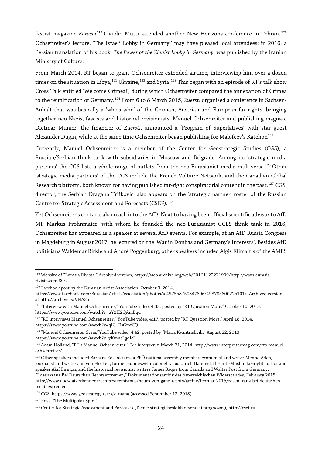fascist magazine *Eurasia* [119](#page-23-0) Claudio Mutti attended another New Horizons conference in Tehran. [120](#page-23-1) Ochsenreiter's lecture, 'The Israeli Lobby in Germany,' may have pleased local attendees: in 2016, a Persian translation of his book, *The Power of the Zionist Lobby in Germany*, was published by the Iranian Ministry of Culture.

From March 2014, RT began to grant Ochsenreiter extended airtime, interviewing him over a dozen times on the situation in Libya,<sup>[121](#page-23-2)</sup> Ukraine,<sup>[122](#page-23-3)</sup> and Syria.<sup>[123](#page-23-4)</sup> This began with an episode of RT's talk show Cross Talk entitled 'Welcome Crimea!', during which Ochsenreiter compared the annexation of Crimea to the reunification of Germany.[124](#page-23-5) From 6 to 8 March 2015, *Zuerst!* organised a conference in Sachsen-Anhalt that was basically a 'who's who' of the German, Austrian and European far rights, bringing together neo-Nazis, fascists and historical revisionists. Manuel Ochsenreiter and publishing magnate Dietmar Munier, the financier of *Zuerst!*, announced a 'Program of Superlatives' with star guest Alexander Dugin, while at the same time Ochsenreiter began publishing for Malofeev's Katehon<sup>[125](#page-23-6)</sup>

Currently, Manuel Ochsenreiter is a member of the Center for Geostrategic Studies (CGS), a Russian/Serbian think tank with subsidiaries in Moscow and Belgrade. Among its 'strategic media partners' the CGS lists a whole range of outlets from the neo-Eurasianist media multiverse.<sup>[126](#page-23-7)</sup> Other 'strategic media partners' of the CGS include the French Voltaire Network, and the Canadian Global Research platform, both known for having published far-right conspiratorial content in the past.<sup>[127](#page-23-8)</sup> CGS' director, the Serbian Dragana Trifkovic, also appears on the 'strategic partner' roster of the Russian Centre for Strategic Assessment and Forecasts (CSEF).<sup>[128](#page-23-9)</sup>

Yet Ochsenreiter's contacts also reach into the AfD. Next to having been official scientific advisor to AfD MP Markus Frohnmaier, with whom he founded the neo-Eurasianist GCES think tank in 2016, Ochsenreiter has appeared as a speaker at several AfD events. For example, at an AfD Russia Congress in Magdeburg in August 2017, he lectured on the 'War in Donbas and Germany's Interests'. Besides AfD politicians Waldemar Birkle and André Poggenburg, other speakers included Algis Klimaitis of the AMES

 $\overline{a}$ 

<span id="page-23-0"></span><sup>119</sup> Website of "Eurasia Rivista." Archived version, https://web.archive.org/web/20161122221909/http://www.eurasiarivista.com:80/.

<sup>&</sup>lt;sup>120</sup> Facebook post by the Eurasian Artist Association, October 3, 2014,

<span id="page-23-1"></span>https://www.facebook.com/EurasianArtistsAssociation/photos/a.497558750347806/498785800225101/. Archived version at http://archive.is/VNA3o.

<span id="page-23-2"></span><sup>121</sup> "Interview with Manuel Ochsenreiter," YouTube video, 4:33, posted by "RT Question More," October 10, 2013, https://www.youtube.com/watch?v=uY2H2QAmBqc.

<span id="page-23-3"></span><sup>122</sup> "RT interviews Manuel Ochsenreiter," YouTube video, 4:17, posted by "RT Question More," April 18, 2014, https://www.youtube.com/watch?v=qIG\_EsGmfCQ.

<span id="page-23-4"></span><sup>123</sup> "Manuel Ochsenreiter Syria,"YouTube video, 4:42, posted by "Maria Kvantrishvili," August 22, 2013, https://www.youtube.com/watch?v=yKmucLgdIcI.

<span id="page-23-5"></span><sup>124</sup> Adam Holland, "RT's Manuel Ochsenreiter," *The Interpreter*, March 21, 2014, http://www.interpretermag.com/rts-manuelochsenreiter/.

<span id="page-23-6"></span><sup>&</sup>lt;sup>125</sup> Other speakers included Barbara Rosenkranz, a FPÖ national assembly member, economist and writer Menno Aden, journalist and writer Jan von Flocken, former Bundeswehr colonel Klaus Ulrich Hammel, the anti-Muslim far-right author and speaker Akif Pirinçci, and the historical revisionist writers James Baque from Canada and Walter Post from Germany. "Rosenkranz Bei Deutschen Rechtsextremen," Dokumentationsarchiv des österreichischen Widerstandes, February 2015, http://www.doew.at/erkennen/rechtsextremismus/neues-von-ganz-rechts/archiv/februar-2015/rosenkranz-bei-deutschen-

rechtsextremen.

<span id="page-23-7"></span><sup>126</sup> CGS, https://www.geostrategy.rs/rs/o-nama (accessed September 13, 2018).

<span id="page-23-8"></span><sup>127</sup> Ross, "The Multipolar Spin."

<span id="page-23-9"></span><sup>128</sup> Center for Strategic Assessment and Forecasts (Tsentr strategicheskikh otsenok i prognozov), http://csef.ru.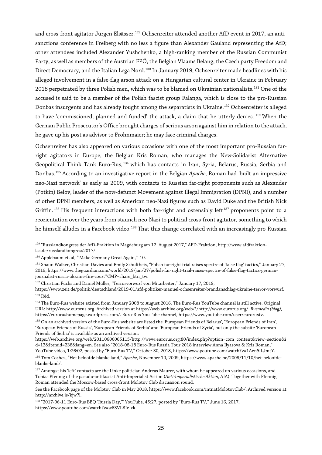and cross-front agitator Jürgen Elsässer.<sup>[129](#page-24-0)</sup> Ochsenreiter attended another AfD event in 2017, an antisanctions conference in Freiberg with no less a figure than Alexander Gauland representing the AfD; other attendees included Alexander Yushchenko, a high-ranking member of the Russian Communist Party, as well as members of the Austrian FPÖ, the Belgian Vlaams Belang, the Czech party Freedom and Direct Democracy, and the Italian Lega Nord.<sup>[130](#page-24-1)</sup> In January 2019, Ochsenreiter made headlines with his alleged involvement in a false-flag arson attack on a Hungarian cultural center in Ukraine in February 2018 perpetrated by three Polish men, which was to be blamed on Ukrainian nationalists. [131](#page-24-2) One of the accused is said to be a member of the Polish fascist group Falanga, which is close to the pro-Russian Donbas insurgents and has already fought among the separatists in Ukraine.<sup>[132](#page-24-3)</sup> Ochsenreiter is alleged to have 'commissioned, planned and funded' the attack, a claim that he utterly denies. <sup>[133](#page-24-4)</sup> When the German Public Prosecutor's Office brought charges of serious arson against him in relation to the attack, he gave up his post as advisor to Frohnmaier; he may face criminal charges.

Ochsenreiter has also appeared on various occasions with one of the most important pro-Russian farright agitators in Europe, the Belgian Kris Roman, who manages the New-Solidarist Alternative Geopolitical Think Tank Euro-Rus, [134](#page-24-5) which has contacts in Iran, Syria, Belarus, Russia, Serbia and Donbas.[135](#page-24-6) According to an investigative report in the Belgian *Apache,* Roman had 'built an impressive neo-Nazi network' as early as 2009, with contacts to Russian far-right proponents such as Alexander (Potkin) Belov, leader of the now-defunct Movement against Illegal Immigration (DPNI), and a number of other DPNI members, as well as American neo-Nazi figures such as David Duke and the British Nick Griffin.<sup>[136](#page-24-7)</sup> His frequent interactions with both far-right and ostensibly left<sup>[137](#page-24-8)</sup> proponents point to a reorientation over the years from staunch neo-Nazi to political cross-front agitator, something to which he himself alludes in a Facebook video.<sup>[138](#page-24-9)</sup> That this change correlated with an increasingly pro-Russian

<span id="page-24-0"></span> $\overline{a}$ <sup>129</sup> "Russlandkongress der AfD-Fraktion in Magdeburg am 12. August 2017," AFD-Fraktion, http://www.afdfraktionlsa.de/russlandkongress2017/.

<span id="page-24-1"></span><sup>130</sup> Applebaum et. al, "'Make Germany Great Again,'" 10.

<span id="page-24-2"></span><sup>131</sup> Shaun Walker, Christian Davies and Emily Schultheis, "Polish far-right trial raises spectre of 'false flag' tactics," January 27, 2019, https://www.theguardian.com/world/2019/jan/27/polish-far-right-trial-raises-spectre-of-false-flag-tactics-germanjournalist-russia-ukraine-fire-court?CMP=share\_btn\_tw.

<span id="page-24-3"></span><sup>&</sup>lt;sup>132</sup> Christian Fuchs and Daniel Müller, "Terrorvorwurf von Mitarbeiter," January 17, 2019,

<span id="page-24-4"></span>https://www.zeit.de/politik/deutschland/2019-01/afd-politiker-manuel-ochsenreiter-brandanschlag-ukraine-terror-vorwurf. <sup>133</sup> Ibid.

<span id="page-24-5"></span><sup>134</sup> The Euro-Rus website existed from January 2008 to August 2016. The Euro-Rus YouTube channel is still active. Original URL: http://www.eurorus.org. Archived version at https://web.archive.org/web/\*/http://www.eurorus.org/. *Rusmedia (blog)*, https://eurorushomepage.wordpress.com/. Euro-Rus YouTube channel, https://www.youtube.com/user/eurorustv.

<span id="page-24-6"></span><sup>135</sup> On an archived version of the Euro-Rus website are listed the 'European Friends of Belarus', 'European Friends of Iran', 'European Friends of Russia', 'European Friends of Serbia' and 'European Friends of Syria', but only the subsite 'European Friends of Serbia' is available as an archived version:

https://web.archive.org/web/20110606065115/http://www.eurorus.org:80/index.php?option=com\_content&view=section&i d=13&Itemid=238&lang=en. See also "2018-08-18 Euro-Rus Russia Tour 2018 interview Anna Ilyasova & Kris Roman," YouTube video, 1:26:02, posted by "Euro-Rus TV," October 30, 2018, https://www.youtube.com/watch?v=1Aen5lLJmtY.

<span id="page-24-7"></span><sup>136</sup> Tom Cochez, "Het beloofde blanke land," *Apache*, November 10, 2009, https://www.apache.be/2009/11/10/het-beloofdeblanke-land/.

<span id="page-24-8"></span> $137$  Amongst his 'left' contacts are the Linke politician Andreas Maurer, with whom he appeared on various occasions, and Tobias Pfennig of the pseudo-antifascist Anti-Imperialist Action (*Anti-Imperialistische Aktion*, AIA). Together with Pfennig, Roman attended the Moscow-based cross-front Molotov Club discussion round.

See the Facebook page of the Molotov Club in May 2018, https://www.facebook.com/intnatMolotovClub/. Archived version at http://archive.is/kjw7l.

<span id="page-24-9"></span><sup>138</sup> "2017-06-11 Euro-Rus BBQ 'Russia Day,'" YouTube, 45:27, posted by "Euro-Rus TV," June 16, 2017, https://www.youtube.com/watch?v=w63VLBIe-xk.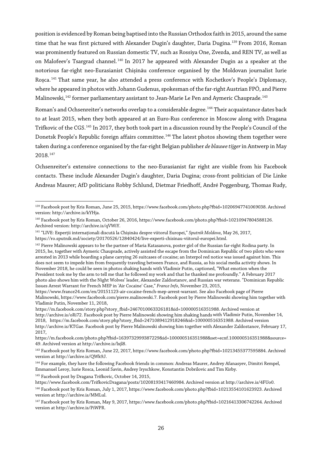position is evidenced by Roman being baptised into the Russian Orthodox faith in 2015, around the same time that he was first pictured with Alexander Dugin's daughter, Daria Dugina.<sup>[139](#page-25-0)</sup> From 2016, Roman was prominently featured on Russian domestic TV, such as Rossiya One, Zvezda, and REN TV, as well as on Malofeev's Tsargrad channel.<sup>[140](#page-25-1)</sup> In 2017 he appeared with Alexander Dugin as a speaker at the notorious far-right neo-Eurasianist Chișinău conference organised by the Moldovan journalist Iurie Roșca. [141](#page-25-2) That same year, he also attended a press conference with Kochetkov's People's Diplomacy, where he appeared in photos with Johann Gudenus, spokesman of the far-right Austrian FPÖ, and Pierre Malinowski, $^{142}$  $^{142}$  $^{142}$  former parliamentary assistant to Jean-Marie Le Pen and Aymeric Chauprade. $^{143}$  $^{143}$  $^{143}$ 

Roman's and Ochsenreiter's networks overlap to a considerable degree.<sup>[144](#page-25-5)</sup> Their acquaintance dates back to at least 2015, when they both appeared at an Euro-Rus conference in Moscow along with Dragana Trifkovic of the CGS.[145](#page-25-6) In 2017, they both took part in a discussion round by the People's Council of the Donetsk People's Republic foreign affairs committee.<sup>[146](#page-25-7)</sup> The latest photos showing them together were taken during a conference organised by the far-right Belgian publisher *de blauwe tijger*in Antwerp in May 2018.[147](#page-25-8)

Ochsenreiter's extensive connections to the neo-Eurasianist far right are visible from his Facebook contacts. These include Alexander Dugin's daughter, Daria Dugina; cross-front politician of Die Linke Andreas Maurer; AfD politicians Robby Schlund, Dietmar Friedhoff, André Poggenburg, Thomas Rudy,

<sup>145</sup> Facebook post by Dragana Trifkovic, October 14, 2015,

<span id="page-25-0"></span> $\overline{a}$ <sup>139</sup> Facebook post by Kris Roman, June 25, 2015, https://www.facebook.com/photo.php?fbid=10206947741069038. Archived version: http://archive.is/kYHja.

<span id="page-25-1"></span><sup>140</sup> Facebook post by Kris Roman, October 26, 2016, https://www.facebook.com/photo.php?fbid=10210947804588126. Archived version: http://archive.is/qVWiY.

<span id="page-25-2"></span><sup>141</sup> "LIVE: Experții internaționali discută la Chișinău despre viitorul Europei," *Sputnik Moldova*, May 26, 2017, https://ro.sputnik.md/society/20170526/12840424/live-experti-chisinau-viitorul-europei.html.

<span id="page-25-3"></span><sup>&</sup>lt;sup>142</sup> Pierre Malinowski appears to be the partner of Maria Katasanova, poster girl of the Russian far-right Rodina party. In 2015, he, together with Aymeric Chauprade, actively assisted the escape from the Dominican Republic of two pilots who were arrested in 2013 while boarding a plane carrying 26 suitcases of cocaine; an Interpol red notice was issued against him. This does not seem to impede him from frequently traveling between France, and Russia, as his social media activity shows. In November 2018, he could be seen in photos shaking hands with Vladimir Putin, captioned, "What emotion when the President took me by the arm to tell me that he followed my work and that he thanked me profoundly." A February 2017 photo also shows him with the Night Wolves' leader, Alexander Zaldostanov, and Russian war veterans. "Dominican Republic Issues Arrest Warrant for French MEP in 'Air Cocaine' Case," *France Info*, November 23, 2015,

https://www.france24.com/en/20151123-air-cocaine-french-mep-arrest-warrant. See also Facebook page of Pierre Malinowski, https://www.facebook.com/pierre.malinowski.7. Facebook post by Pierre Malinowski showing him together with Vladimir Putin, November 11, 2018,

https://m.facebook.com/story.php?story\_fbid=2467010063326181&id=100000516351988. Archived version at http://archive.is/oRi72. Facebook post by Pierre Malinowski showing him shaking hands with Vladimir Putin, November 14, 2018, https://m.facebook.com/story.php?story\_fbid=2471089412918246&id=100000516351988. Archived version http://archive.is/KTGae. Facebook post by Pierre Malinowski showing him together with Alexander Zaldostanov, February 17, 2017,

https://m.facebook.com/photo.php?fbid=1639732999387229&id=100000516351988&set=ecnf.100000516351988&source= 49. Archived version at http://archive.is/lxjl8.

<span id="page-25-4"></span><sup>143</sup> Facebook post by Kris Roman, June 22, 2017, https://www.facebook.com/photo.php?fbid=10213455377595884. Archived version at http://archive.is/QWk9J.

<span id="page-25-5"></span><sup>144</sup> For example, they have the following Facebook friends in common: Andreas Maurer, Andrey Afanasyev, Dimitri Rempel, Emmanuel Leroy, Iurie Rosca, Leonid Savin, Andrey Iryschkow, Konstantin Dobrilovic and Tim Kirby.

<span id="page-25-6"></span>https://www.facebook.com/TrifkovicDragana/posts/10208193417460984. Archived version at http://archive.is/4FUo0.

<span id="page-25-7"></span><sup>146</sup> Facebook post by Kris Roman, July 1, 2017, https://www.facebook.com/photo.php?fbid=10213554101623923. Archived version at http://archive.is/MMLul.

<span id="page-25-8"></span><sup>147</sup> Facebook post by Kris Roman, May 9, 2017, https://www.facebook.com/photo.php?fbid=10216413306742264. Archived version at http://archive.is/PiWPR.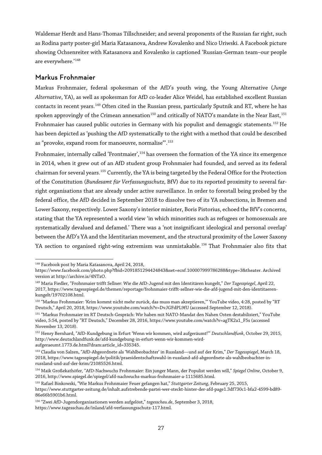Waldemar Herdt and Hans-Thomas Tillschneider; and several proponents of the Russian far right, such as Rodina party poster-girl Maria Katasanova, Andrew Kovalenko and Nico Uriwski. A Facebook picture showing Ochsenreiter with Katasanova and Kovalenko is captioned 'Russian-German team–our people are everywhere.'<sup>[148](#page-26-0)</sup>

#### Markus Frohnmaier

Markus Frohnmaier, federal spokesman of the AfD's youth wing, the Young Alternative (*Junge Alternative*, YA), as well as spokesman for AfD co-leader Alice Weidel, has established excellent Russian contacts in recent years.<sup>[149](#page-26-1)</sup> Often cited in the Russian press, particularly Sputnik and RT, where he has spoken approvingly of the Crimean annexation<sup>[150](#page-26-2)</sup> and critically of NATO's mandate in the Near East,<sup>[151](#page-26-3)</sup> Frohnmaier has caused public outcries in Germany with his populist and demagogic statements.<sup>[152](#page-26-4)</sup> He has been depicted as 'pushing the AfD systematically to the right with a method that could be described as "provoke, expand room for manoeuvre, normalise"'. [153](#page-26-5)

Frohnmaier, internally called 'Frontmaier', <sup>[154](#page-26-6)</sup> has overseen the formation of the YA since its emergence in 2014, when it grew out of an AfD student group Frohnmaier had founded, and served as its federal chairman for several years.<sup>[155](#page-26-7)</sup> Currently, the YA is being targeted by the Federal Office for the Protection of the Constitution (*Bundesamt für Verfassungsschutz*, BfV) due to its reported proximity to several farright organisations that are already under active surveillance. In order to forestall being probed by the federal office, the AfD decided in September 2018 to dissolve two of its YA subsections, in Bremen and Lower Saxony, respectively. Lower Saxony's interior minister, Boris Pistorius, echoed the BfV's concerns, stating that the YA represented a world view 'in which minorities such as refugees or homosexuals are systematically devalued and defamed.' There was a 'not insignificant ideological and personal overlap' between the AfD's YA and the Identitarian movement, and the structural proximity of the Lower Saxony YA section to organised right-wing extremism was unmistakable.<sup>[156](#page-26-8)</sup> That Frohnmaier also fits that

 $\overline{a}$ <sup>148</sup> Facebook post by Maria Katasanova, April 24, 2018,

<span id="page-26-0"></span>https://www.facebook.com/photo.php?fbid=2091851294424843&set=ecnf.100007999786288&type=3&theater. Archived version at http://archive.is/4NTzO.

<span id="page-26-1"></span><sup>149</sup> Maria Fiedler, "Frohnmaier trifft Sellner: Wie die AfD-Jugend mit den Identitären kungelt," *Der Tagesspiegel*, April 22, 2017, https://www.tagesspiegel.de/themen/reportage/frohnmaier-trifft-sellner-wie-die-afd-jugend-mit-den-identitaerenkungelt/19702108.html.

<span id="page-26-2"></span><sup>150</sup> "Markus Frohnmaier: 'Krim kommt nicht mehr zurück, das muss man akzeptieren,'" YouTube video, 4:28, posted by "RT Deutsch," April 20, 2018, https://www.youtube.com/watch?v=DvJGFdPL9fU (accessed September 12, 2018).

<span id="page-26-3"></span><sup>151</sup> "Markus Frohnmaier im RT Deutsch-Gespräch: Wir haben mit NATO-Mandat den Nahen Osten destabilisiert," YouTube video, 5:54, posted by "RT Deutsch," December 28, 2016, https://www.youtube.com/watch?v=agTK2a1\_F5s (accessed November 13, 2018).

<span id="page-26-4"></span><sup>152</sup> Henry Bernhard, "AfD-Kundgebung in Erfurt 'Wenn wir kommen, wird aufgeräumt!'" *Deutschlandfunk*, October 29, 2015, http://www.deutschlandfunk.de/afd-kundgebung-in-erfurt-wenn-wir-kommen-wirdaufgeraeumt.1773.de.html?dram:article\_id=335345.

<span id="page-26-5"></span><sup>153</sup> Claudia von Salzen, "AfD-Abgeordnete als 'Wahlbeobachter' in Russland—und auf der Krim," *Der Tagesspiegel*, March 18, 2018, https://www.tagesspiegel.de/politik/praesidentschaftswahl-in-russland-afd-abgeordnete-als-wahlbeobachter-inrussland-und-auf-der-krim/21085526.html.

<span id="page-26-6"></span><sup>154</sup> Maik Großekathöfer, "AfD-Nachwuchs Frohnmaier: Ein junger Mann, der Populist werden will," *Spiegel Online*, October 9, 2016, http://www.spiegel.de/spiegel/afd-nachwuchs-markus-frohnmaier-a-1115685.html.

<span id="page-26-7"></span><sup>155</sup> Rafael Binkowski, "Wie Markus Frohnmaier Feuer gefangen hat," *Stuttgarter Zeitung*, February 25, 2015,

https://www.stuttgarter-zeitung.de/inhalt.aufstrebende-partei-wer-steckt-hinter-der-afd-page1.3df730c1-bfa2-4599-bd89- 86e66b5901b6.html.

<span id="page-26-8"></span><sup>156</sup> "Zwei AfD-Jugendorganisationen werden aufgelöst," *tagesschau.de*, September 3, 2018,

https://www.tagesschau.de/inland/afd-verfassungsschutz-117.html.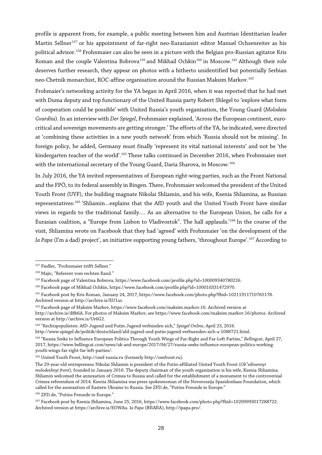profile is apparent from, for example, a public meeting between him and Austrian Identitarian leader Martin Sellner<sup>[157](#page-27-0)</sup> or his appointment of far-right neo-Eurasianist editor Manuel Ochsenreiter as his political advisor.<sup>[158](#page-27-1)</sup> Frohnmaier can also be seen in a picture with the Belgian pro-Russian agitator Kris Roman and the couple Valentina Bobrova<sup>[159](#page-27-2)</sup> and Mikhail Ochkin<sup>[160](#page-27-3)</sup> in Moscow.<sup>[161](#page-27-4)</sup> Although their role deserves further research, they appear on photos with a hitherto unidentified but potentially Serbian neo-Chetnik monarchist, ROC-affine organisation around the Russian Maksim Markov.<sup>[162](#page-27-5)</sup>

Frohmaier's networking activity for the YA began in April 2016, when it was reported that he had met with Duma deputy and top functionary of the United Russia party Robert Shlegel to 'explore what form of cooperation could be possible' with United Russia's youth organisation, the Young Guard (*Molodaia Gvardiia*). In an interview with *Der Spiegel*, Frohnmaier explained, 'Across the European continent, eurocritical and sovereign movements are getting stronger.' The efforts of the YA, he indicated, were directed at 'combining these activities in a new youth network' from which 'Russia should not be missing'. In foreign policy, he added, Germany must finally 'represent its vital national interests' and not be 'the kindergarten teacher of the world'.<sup>[163](#page-27-6)</sup> These talks continued in December 2016, when Frohnmaier met with the international secretary of the Young Guard, Daria Sharova, in Moscow.<sup>[164](#page-27-7)</sup>

In July 2016, the YA invited representatives of European right-wing parties, such as the Front National and the FPÖ, to its federal assembly in Bingen. There, Frohnmaier welcomed the president of the United Youth Front (UYF), the building magnate Nikolai Shliamin, and his wife, Ksenia Shliamina, as Russian representatives:<sup>[165](#page-27-8)</sup> 'Shliamin...explains that the AfD youth and the United Youth Front have similar views in regards to the traditional family.… As an alternative to the European Union, he calls for a Eurasian coalition, a "Europe from Lisbon to Vladivostok". The hall applauds.'[166](#page-27-9) In the course of the visit, Shliamina wrote on Facebook that they had 'agreed' with Frohnmaier 'on the development of the *Ia Papa* (I'm a dad) project', an initiative supporting young fathers, 'throughout Europe'.[167](#page-27-10) According to

<span id="page-27-9"></span><sup>166</sup> ZFD.de, "Putins Freunde in Europe."

<span id="page-27-0"></span> $\overline{a}$ <sup>157</sup> Fiedler, "Frohnmaier trifft Sellner."

<span id="page-27-1"></span><sup>158</sup> Majic, "Referent vom rechten Rand."

<span id="page-27-2"></span><sup>159</sup> Facebook page of Valentina Bobrova, https://www.facebook.com/profile.php?id=100009340780226.

<span id="page-27-3"></span><sup>160</sup> Facebook page of Mikhail Ochkin, https://www.facebook.com/profile.php?id=100010331472970.

<span id="page-27-4"></span><sup>161</sup> Facebook post by Kris Roman, January 24, 2017, https://www.facebook.com/photo.php?fbid=10211911710765178. Archived version at http://archive.is/EU1ur.

<span id="page-27-5"></span><sup>162</sup> Facebook page of Maksim Markov, https://www.facebook.com/maksim.markov.16. Archived version at http://archive.is/d8b6A. For photos of Maksim Markov, see https://www.facebook.com/maksim.markov.16/photos. Archived version at http://archive.is/Ur6G2.

<span id="page-27-6"></span><sup>163</sup> "Rechtspopulisten: AfD-Jugend und Putin-Jugend verbünden sich," *Spiegel Online*, April 23, 2016.

http://www.spiegel.de/politik/deutschland/afd-jugend-und-putin-jugend-verbuenden-sich-a-1088721.html.

<span id="page-27-7"></span><sup>164</sup> "Russia Seeks to Influence European Politics Through Youth Wings of Far-Right and Far-Left Parties," *Bellingcat*, April 27, 2017, https://www.bellingcat.com/news/uk-and-europe/2017/04/27/russia-seeks-influence-european-politics-workingyouth-wings-far-right-far-left-parties/.

<span id="page-27-8"></span><sup>165</sup> United Youth Front, http://omf-russia.ru (formerly http://omfront.ru).

The 29-year-old entrepreneur Nikolai Shliamin is president of the Putin-affiliated United Youth Front (*Ob"edinennyi molodezhnyi front*), founded in January 2016. The deputy chairman of the youth organization is his wife, Ksenia Shliamina. Shliamin welcomed the annexation of Crimea to Russia and called for the establishment of a monument to the controversial Crimea referendum of 2014. Ksenia Shliamina was press spokeswoman of the Novorossija Spasidonbass Foundation, which called for the annexation of Eastern Ukraine to Russia. See ZFD.de, "Putins Freunde in Europe."

<span id="page-27-10"></span><sup>167</sup> Facebook post by Ksenia Shliamina, June 25, 2016, https://www.facebook.com/photo.php?fbid=10209993017288722. Archived version at https://archive.is/EOWAu. *Ia Papa* (ЯПАПА), http://ipapa.pro/.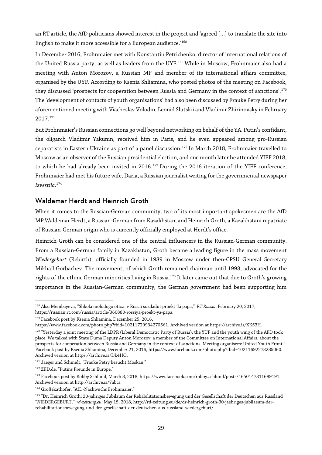an RT article, the AfD politicians showed interest in the project and 'agreed […] to translate the site into English to make it more accessible for a European audience.['168](#page-28-0)

In December 2016, Frohnmaier met with Konstantin Petrichenko, director of international relations of the United Russia party, as well as leaders from the UYF.<sup>[169](#page-28-1)</sup> While in Moscow, Frohnmaier also had a meeting with Anton Morozov, a Russian MP and member of its international affairs committee, organised by the UYF. According to Ksenia Shliamina, who posted photos of the meeting on Facebook, they discussed 'prospects for cooperation between Russia and Germany in the context of sanctions'.<sup>[170](#page-28-2)</sup> The 'development of contacts of youth organisations' had also been discussed by Frauke Petry during her aforementioned meeting with Viacheslav Volodin, Leonid Slutskii and Vladimir Zhirinovsky in February 2017.[171](#page-28-3)

But Frohnmaier's Russian connections go well beyond networking on behalf of the YA. Putin's confidant, the oligarch Vladimir Yakunin, received him in Paris, and he even appeared among pro-Russian separatists in Eastern Ukraine as part of a panel discussion.<sup>[172](#page-28-4)</sup> In March 2018, Frohnmaier travelled to Moscow as an observer of the Russian presidential election, and one month later he attended YIEF 2018, to which he had already been invited in 2016.<sup>[173](#page-28-5)</sup> During the 2016 iteration of the YIEF conference, Frohnmaier had met his future wife, Daria, a Russian journalist writing for the governmental newspaper *Izvestiia*. [174](#page-28-6)

#### Waldemar Herdt and Heinrich Groth

When it comes to the Russian-German community, two of its most important spokesmen are the AfD MP Waldemar Herdt, a Russian-German from Kazakhstan, and Heinrich Groth, a Kazakhstanirepatriate of Russian-German origin who is currently officially employed at Herdt's office.

Heinrich Groth can be considered one of the central influencers in the Russian-German community. From a Russian-German family in Kazakhstan, Groth became a leading figure in the mass movement *Wiedergeburt* (Rebirth), officially founded in 1989 in Moscow under then-CPSU General Secretary Mikhail Gorbachev. The movement, of which Groth remained chairman until 1993, advocated for the rights of the ethnic German minorities living in Russia.<sup>[175](#page-28-7)</sup> It later came out that due to Groth's growing importance in the Russian-German community, the German government had been supporting him

<span id="page-28-0"></span> $\overline{a}$ <sup>168</sup> Alsu Menibayeva, "Shkola molodogo ottsa: v Rossii sozdadut proekt 'Ia papa,'" *RT Russia*, February 20, 2017, https://russian.rt.com/russia/article/360880-rossiya-proekt-ya-papa.

<span id="page-28-1"></span><sup>169</sup> Facebook post by Ksenia Shliamina, December 25, 2016,

https://www.facebook.com/photo.php?fbid=10211729934270561. Archived version at https://archive.is/XK53H.

<span id="page-28-2"></span><sup>&</sup>lt;sup>170</sup> "Yesterday a joint meeting of the LDPR (Liberal Democratic Party of Russia), the YUF and the youth wing of the AFD took place. We talked with State Duma Deputy Anton Morozov, a member of the Committee on International Affairs, about the prospects for cooperation between Russia and Germany in the context of sanctions. Meeting organisers: United Youth Front." Facebook post by Ksenia Shliamina, December 21, 2016, https://www.facebook.com/photo.php?fbid=10211692273289060. Archived version at https://archive.is/Dk4HO.

<span id="page-28-3"></span><sup>&</sup>lt;sup>171</sup> Jaeger and Schmidt, "Frauke Petry besucht Moskau."

<sup>172</sup> ZFD.de, "Putins Freunde in Europe."

<span id="page-28-5"></span><span id="page-28-4"></span><sup>173</sup> Facebook post by Robby Schlund, March 8, 2018, https://www.facebook.com/robby.schlund/posts/1650147811689191. Archived version at http://archive.is/7abcs.

<span id="page-28-6"></span><sup>174</sup> Großekathöfer, "AfD-Nachwuchs Frohnmaier."

<span id="page-28-7"></span><sup>175 &</sup>quot;Dr. Heinrich Groth: 30-jähriges Jubiläum der Rehabilitationsbewegung und der Gesellschaft der Deutschen aus Russland 'WIEDERGEBURT,'" *rd-zeitung.eu*, May 15, 2018, http://rd-zeitung.eu/de/dr-heinrich-groth-30-jaehriges-jubilaeum-derrehabilitationsbewegung-und-der-gesellschaft-der-deutschen-aus-russland-wiedergeburt/.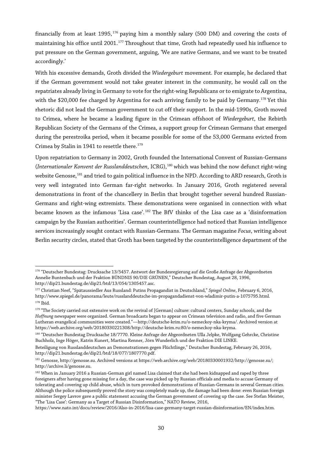financially from at least 1995, [176](#page-29-0) paying him a monthly salary (500 DM) and covering the costs of maintaining his office until 2001.<sup>[177](#page-29-1)</sup> Throughout that time, Groth had repeatedly used his influence to put pressure on the German government, arguing, 'We are native Germans, and we want to be treated accordingly.'

With his excessive demands, Groth divided the *Wiedergeburt* movement. For example, he declared that if the German government would not take greater interest in the community, he would call on the repatriates already living in Germany to vote for the right-wing Republicans or to emigrate to Argentina, with the \$20,000 fee charged by Argentina for each arriving family to be paid by Germany.<sup>[178](#page-29-2)</sup> Yet this rhetoric did not lead the German government to cut off their support. In the mid-1990s, Groth moved to Crimea, where he became a leading figure in the Crimean offshoot of *Wiedergeburt*, the Rebirth Republican Society of the Germans of the Crimea, a support group for Crimean Germans that emerged during the perestroika period, when it became possible for some of the 53,000 Germans evicted from Crimea by Stalin in 1941 to resettle there.<sup>[179](#page-29-3)</sup>

Upon repatriation to Germany in 2002, Groth founded the International Convent of Russian-Germans (*Internationaler Konvent der Russlanddeutschen*, ICRG),[180](#page-29-4) which was behind the now defunct right-wing website Genosse,<sup>[181](#page-29-5)</sup> and tried to gain political influence in the NPD. According to ARD research, Groth is very well integrated into German far-right networks. In January 2016, Groth registered several demonstrations in front of the chancellery in Berlin that brought together several hundred Russian-Germans and right-wing extremists. These demonstrations were organised in connection with what became known as the infamous 'Lisa case'. [182](#page-29-6) The BfV thinks of the Lisa case as a 'disinformation campaign by the Russian authorities'. German counterintelligence had noticed that Russian intelligence services increasingly sought contact with Russian-Germans. The German magazine *Focus*, writing about Berlin security circles, stated that Groth has been targeted by the counterintelligence department of the

<span id="page-29-0"></span> $\overline{a}$ <sup>176</sup> "Deutscher Bundestag: Drucksache 13/5457. Antwort der Bundesregierung auf die Große Anfrage der Abgeordneten Annelie Buntenbach und der Fraktion BÜNDNIS 90/DIE GRÜNEN," Deutscher Bundestag, August 28, 1996, http://dip21.bundestag.de/dip21/btd/13/054/1305457.asc.

<span id="page-29-1"></span><sup>177</sup> Christian Neef, "Spätaussiedler Aus Russland: Putins Propagandist in Deutschland," *Spiegel Online*, February 6, 2016, http://www.spiegel.de/panorama/leute/russlanddeutsche-im-propagandadienst-von-wladimir-putin-a-1075795.html. <sup>178</sup> Ibid.

<span id="page-29-3"></span><span id="page-29-2"></span><sup>179 &</sup>quot;The Society carried out extensive work on the revival of [German] culture: cultural centers, Sunday schools, and the *Hoffnung* newspaper were organized. German broadcasts began to appear on Crimean television and radio, and five German Lutheran evangelical communities were created."—http://deutsche-krim.ru/o-nemeckoy-nka-kryma/. Archived version at https://web.archive.org/web/20180330221308/http://deutsche-krim.ru:80/o-nemeckoy-nka-kryma.

<span id="page-29-4"></span><sup>&</sup>lt;sup>180</sup> "Deutscher Bundestag Drucksache 18/7770. Kleine Anfrage der Abgeordneten Ulla Jelpke, Wolfgang Gehrcke, Christine Buchholz, Inge Höger, Katrin Kunert, Martina Renner, Jörn Wunderlich und der Fraktion DIE LINKE.

Beteiligung von Russlanddeutschen an Demonstrationen gegen Flüchtlinge," Deutscher Bundestag, February 26, 2016, http://dip21.bundestag.de/dip21/btd/18/077/1807770.pdf.

<span id="page-29-5"></span><sup>181</sup> Genosse, http://genosse.su. Archived versions at https://web.archive.org/web/20180330001932/http://genosse.su/; http://archive.li/genosse.su.

<span id="page-29-6"></span><sup>&</sup>lt;sup>182</sup> When in January 2016 a Russian-German girl named Lisa claimed that she had been kidnapped and raped by three foreigners after having gone missing for a day, the case was picked up by Russian officials and media to accuse Germany of tolerating and covering up child abuse, which in turn provoked demonstrations of Russian-Germans in several German cities. Although the police subsequently proved the story was completely made up, the damage had been done: even Russian foreign minister Sergey Lavrov gave a public statement accusing the German government of covering up the case. See Stefan Meister, "The 'Lisa Case': Germany as a Target of Russian Disinformation," NATO Review, 2016,

https://www.nato.int/docu/review/2016/Also-in-2016/lisa-case-germany-target-russian-disinformation/EN/index.htm.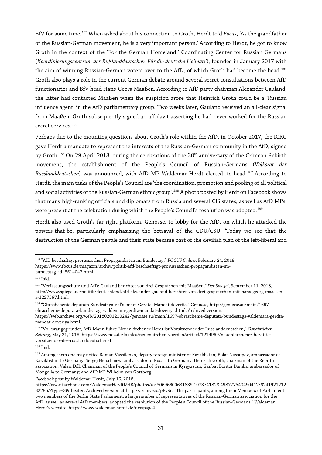BfV for some time.[183](#page-30-0) When asked about his connection to Groth, Herdt told *Focus*, 'As the grandfather of the Russian-German movement, he is a very important person.' According to Herdt, he got to know Groth in the context of the 'For the German Homeland!' Coordinating Center for Russian Germans (*Koordinierungszentrum der Rußlanddeutschen 'Für die deutsche Heimat!'*), founded in January 2017 with the aim of winning Russian-German voters over to the AfD, of which Groth had become the head.<sup>[184](#page-30-1)</sup> Groth also plays a role in the current German debate around several secret consultations between AfD functionaries and BfV head Hans-Georg Maaßen. According to AfD party chairman Alexander Gauland, the latter had contacted Maaßen when the suspicion arose that Heinrich Groth could be a 'Russian influence agent' in the AfD parliamentary group. Two weeks later, Gauland received an all-clear signal from Maaßen; Groth subsequently signed an affidavit asserting he had never worked for the Russian secret services.<sup>[185](#page-30-2)</sup>

Perhaps due to the mounting questions about Groth's role within the AfD, in October 2017, the ICRG gave Herdt a mandate to represent the interests of the Russian-German community in the AfD, signed by Groth.<sup>[186](#page-30-3)</sup> On 29 April 2018, during the celebrations of the 30<sup>th</sup> anniversary of the Crimean Rebirth movement, the establishment of the People's Council of Russian-Germans (*Volksrat der Russlanddeutschen*) was announced, with AfD MP Waldemar Herdt elected its head. [187](#page-30-4) According to Herdt, the main tasks of the People's Council are 'the coordination, promotion and pooling of all political and social activities of the Russian-German ethnic group'.<sup>[188](#page-30-5)</sup> A photo posted by Herdt on Facebook shows that many high-ranking officials and diplomats from Russia and several CIS states, as well as AfD MPs, were present at the celebration during which the People's Council's resolution was adopted.<sup>[189](#page-30-6)</sup>

Herdt also used Groth's far-right platform, Genosse, to lobby for the AfD, on which he attacked the powers-that-be, particularly emphasising the betrayal of the CDU/CSU: 'Today we see that the destruction of the German people and their state became part of the devilish plan of the left-liberal and

 $\overline{a}$ <sup>183</sup> "AfD beschäftigt prorussischen Propagandisten im Bundestag," *FOCUS Online*, February 24, 2018,

<span id="page-30-0"></span>https://www.focus.de/magazin/archiv/politik-afd-beschaeftigt-prorussischen-propagandisten-im-

bundestag\_id\_8514047.html.

<span id="page-30-1"></span><sup>184</sup> Ibid.

<span id="page-30-2"></span><sup>185</sup> "Verfassungsschutz und AfD: Gauland berichtet von drei Gesprächen mit Maaßen," *Der Spiegel*, September 11, 2018, http://www.spiegel.de/politik/deutschland/afd-alexander-gauland-berichtet-von-drei-gespraechen-mit-hans-georg-maassen-

a-1227567.html.

<span id="page-30-3"></span><sup>186</sup> "Obrashchenie deputata Bundestaga Val'demara Gerdta. Mandat doveriia," Genosse, http://genosse.su/main/1697 obraschenie-deputata-bundestaga-valdemara-gerdta-mandat-doveriya.html. Archived version:

https://web.archive.org/web/20180201210242/genosse.su/main/1697-obraschenie-deputata-bundestaga-valdemara-gerdtamandat-doveriya.html.

<span id="page-30-4"></span><sup>187</sup> "Volksrat gegründet, AfD-Mann führt: Neuenkirchener Herdt ist Vorsitzender der Russlanddeutschen," *Osnabrücker Zeitung*, May 21, 2018, https://www.noz.de/lokales/neuenkirchen-voerden/artikel/1214969/neuenkirchener-herdt-istvorsitzender-der-russlanddeutschen-1.

<span id="page-30-5"></span><sup>188</sup> Ibid.

<span id="page-30-6"></span><sup>189</sup> Among them one may notice Roman Vassilenko, deputy foreign minister of Kazakhstan; Bolat Nussupov, ambassador of Kazakhstan to Germany; Sergej Netschajew, ambassador of Russia to Germany; Heinrich Groth, chairman of the Rebirth association; Valeri Dill, Chairman of the People's Council of Germans in Kyrgyzstan; Ganbat Bontoi Damba, ambassador of Mongolia to Germany; and AfD MP Wilhelm von Gottberg.

Facebook post by Waldemar Herdt, July 16, 2018,

https://www.facebook.com/WaldemarHerdtMdB/photos/a.530696600631839.1073741828.498777540490412/6241921212 82286/?type=3&theater. Archived version at http://archive.is/pFv9c. "The participants, among them Members of Parliament, two members of the Berlin State Parliament, a large number of representatives of the Russian-German association for the AfD, as well as several AfD members, adopted the resolution of the People's Council of the Russian-Germans." Waldemar Herdt's website, https://www.waldemar-herdt.de/newpage4.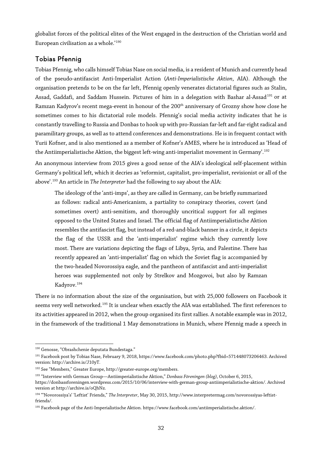globalist forces of the political elites of the West engaged in the destruction of the Christian world and European civilisation as a whole.'[190](#page-31-0)

#### Tobias Pfennig

Tobias Pfennig, who calls himself Tobias Nase on social media, is a resident of Munich and currently head of the pseudo-antifascist Anti-Imperialist Action (*Anti-Imperialistische Aktion*, AIA). Although the organisation pretends to be on the far left, Pfennig openly venerates dictatorial figures such as Stalin, Assad, Gaddafi, and Saddam Hussein. Pictures of him in a delegation with Bashar al-Assad<sup>[191](#page-31-1)</sup> or at Ramzan Kadyrov's recent mega-event in honour of the 200<sup>th</sup> anniversary of Grozny show how close he sometimes comes to his dictatorial role models. Pfennig's social media activity indicates that he is constantly travelling to Russia and Donbas to hook up with pro-Russian far-left and far-right radical and paramilitary groups, as well as to attend conferences and demonstrations. He is in frequent contact with Yurii Kofner, and is also mentioned as a member of Kofner's AMES, where he is introduced as 'Head of the Antiimperialistische Aktion, the biggest left-wing anti-imperialist movement in Germany'.<sup>[192](#page-31-2)</sup>

An anonymous interview from 2015 gives a good sense of the AIA's ideological self-placement within Germany's political left, which it decries as 'reformist, capitalist, pro-imperialist, revisionist or all of the above'.[193](#page-31-3) An article in *The Interpreter* had the following to say about the AIA:

The ideology of the 'anti-imps', as they are called in Germany, can be briefly summarized as follows: radical anti-Americanism, a partiality to conspiracy theories, covert (and sometimes overt) anti-semitism, and thoroughly uncritical support for all regimes opposed to the United States and Israel. The official flag of Antiimperialistische Aktion resembles the antifascist flag, but instead of a red-and-black banner in a circle, it depicts the flag of the USSR and the 'anti-imperialist' regime which they currently love most. There are variations depicting the flags of Libya, Syria, and Palestine. There has recently appeared an 'anti-imperialist' flag on which the Soviet flag is accompanied by the two-headed Novorossiya eagle, and the pantheon of antifascist and anti-imperialist heroes was supplemented not only by Strelkov and Mozgovoi, but also by Ramzan Kadyrov.[194](#page-31-4)

There is no information about the size of the organisation, but with 25,000 followers on Facebook it seems very well networked.<sup>[195](#page-31-5)</sup> It is unclear when exactly the AIA was established. The first references to its activities appeared in 2012, when the group organised its first rallies. A notable example was in 2012, in the framework of the traditional 1 May demonstrations in Munich, where Pfennig made a speech in

<span id="page-31-0"></span> $\overline{a}$ <sup>190</sup> Genosse, "Obrashchenie deputata Bundestaga."

<span id="page-31-1"></span><sup>191</sup> Facebook post by Tobias Nase, February 9, 2018, https://www.facebook.com/photo.php?fbid=571448073206463. Archived version: http://archive.is/J10yT.

<span id="page-31-2"></span><sup>192</sup> See "Members," Greater Europe, http://greater-europe.org/members.

<span id="page-31-3"></span><sup>193</sup> "Interview with German Group—Antiimperialistische Aktion," *Donbass Föreningen (blog)*, October 6, 2015,

https://donbassforeningen.wordpress.com/2015/10/06/interview-with-german-group-antiimperialistische-aktion/. Archived version at http://archive.is/oQhNz.

<span id="page-31-4"></span><sup>194</sup> "'Novorossiya's' 'Leftist' Friends," *The Interpreter*, May 30, 2015, http://www.interpretermag.com/novorossiyas-leftistfriends/.

<span id="page-31-5"></span><sup>195</sup> Facebook page of the Anti-Imperialistische Aktion. https://www.facebook.com/antiimperialistische.aktion/.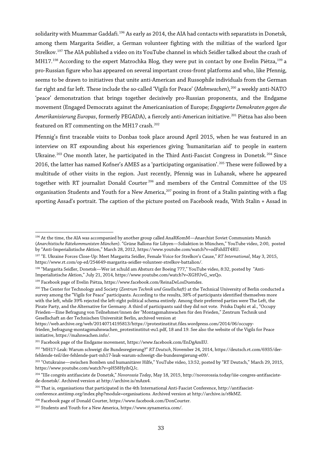solidarity with Muammar Gaddafi.[196](#page-32-0) As early as 2014, the AIA had contacts with separatists in Donetsk, among them Margarita Seidler, a German volunteer fighting with the militias of the warlord Igor Strelkov.[197](#page-32-1) The AIA published a video on its YouTube channel in which Seidler talked about the crash of MH17.<sup>198</sup> According to the expert Matrochka Blog, they were put in contact by one Evelin Piètza,<sup>[199](#page-32-3)</sup> a pro-Russian figure who has appeared on several important cross-front platforms and who, like Pfennig, seems to be drawn to initiatives that unite anti-American and Russophile individuals from the German far right and far left. These include the so-called 'Vigils for Peace' (*Mahnwachen*),[200](#page-32-4) a weekly anti-NATO 'peace' demonstration that brings together decisively pro-Russian proponents, and the Endgame movement (Engaged Democrats against the Americanisation of Europe*; Engagierte Demokraten gegen die Amerikanisierung Europas*, formerly PEGADA), a fiercely anti-American initiative.[201](#page-32-5) Piètza has also been featured on RT commenting on the MH17 crash.<sup>[202](#page-32-6)</sup>

Pfennig's first traceable visits to Donbas took place around April 2015, when he was featured in an interview on RT expounding about his experiences giving 'humanitarian aid' to people in eastern Ukraine.<sup>[203](#page-32-7)</sup> One month later, he participated in the Third Anti-Fascist Congress in Donetsk.<sup>[204](#page-32-8)</sup> Since 2016, the latter has named Kofner's AMES as a 'participating organisation'.<sup>[205](#page-32-9)</sup> These were followed by a multitude of other visits in the region. Just recently, Pfennig was in Luhansk, where he appeared together with RT journalist Donald Courter<sup>[206](#page-32-10)</sup> and members of the Central Committee of the US organisation Students and Youth for a New America,<sup>[207](#page-32-11)</sup> posing in front of a Stalin painting with a flag sporting Assad's portrait. The caption of the picture posted on Facebook reads, 'With Stalin + Assad in

<span id="page-32-3"></span><sup>199</sup> Facebook page of Evelin Piètza, https://www.facebook.com/ReinaDeLosDuendes.

 $\overline{a}$ 

https://web.archive.org/web/20140714195813/https://protestinstitut.files.wordpress.com/2014/06/occupy-

<span id="page-32-0"></span><sup>196</sup> At the time, the AIA was accompanied by another group called AnaRKomM—Anarchist Soviet Communists Munich (*Anarchistische Rätekommunisten München*). "Grüne Ballons für Libyen—Soliaktion in München," YouTube video, 2:00, posted by "Anti-Imperialistische Aktion," March 28, 2012, https://www.youtube.com/watch?v=odFzhElT4RU.

<span id="page-32-1"></span><sup>197</sup> "E. Ukraine Forces Close-Up: Meet Margarita Seidler, Female Voice for Strelkov's Cause," *RT International*, May 3, 2015, https://www.rt.com/op-ed/254649-margarita-seidler-volunteer-strelkov-battalion/.

<span id="page-32-2"></span><sup>&</sup>lt;sup>198</sup> "Margarita Seidler, Donetsk—Wer ist schuld am Absturz der Boeing 777," YouTube video, 8:32, posted by "Anti-Imperialistische Aktion," July 21, 2014, https://www.youtube.com/watch?v=XGHUvG\_wzQo.

<span id="page-32-4"></span><sup>200</sup> The Center for Technology and Society (*Zentrum Technik und Gesellschaft*) at the Technical University of Berlin conducted a survey among the "Vigils for Peace" participants. According to the results, 38% of participants identified themselves more with the left, while 39% rejected the left-right political schema entirely. Among their preferred parties were The Left, the Pirate Party, and the Alternative for Germany. A third of participants said they did not vote. Priska Daphi et al., "Occupy Frieden—Eine Befragung von Teilnehmer/innen der "Montagsmahnwachen für den Frieden," Zentrum Technik und Gesellschaft an der Technischen Universität Berlin, archived version at

frieden\_befragung-montagsmahnwachen\_protestinstitut-eu1.pdf, 18 and 19. See also the website of the Vigils for Peace initiative, https://mahnwachen.info/.

<span id="page-32-5"></span> $^{201}$  Facebook page of the Endgame movement, https://www.facebook.com/EnDgAmEU.

<span id="page-32-6"></span><sup>202</sup> "MH17-Leak: Warum schweigt die Bundesregierung?" *RT Deutsch*, November 24, 2014, https://deutsch.rt.com/6935/derfehlende-teil/der-fehlende-part-mh17-leak-warum-schweigt-die-bundesregierung-e09/.

<span id="page-32-7"></span><sup>&</sup>lt;sup>203</sup> "Ostukraine—zwischen Bomben und humanitärer Hilfe," YouTube video, 13:52, posted by "RT Deutsch," March 29, 2015, https://www.youtube.com/watch?v=pH58HyihQJc.

<span id="page-32-8"></span><sup>204</sup> "IIIe congrès antifasciste de Donetsk," *Novorossia Today*, May 18, 2015, http://novorossia.today/iiie-congres-antifascistede-donetsk/. Archived version at http://archive.is/mAzx4.

<span id="page-32-9"></span><sup>205</sup> That is, organisations that participated in the 4th International Anti-Fascist Conference, http://antifascist-

conference.antiimp.org/index.php?module=organisations. Archived version at http://archive.is/r8kMZ.

<span id="page-32-10"></span><sup>206</sup> Facebook page of Donald Courter, https://www.facebook.com/DonCourter.

<span id="page-32-11"></span><sup>207</sup> Students and Youth for a New America, https://www.synamerica.com/.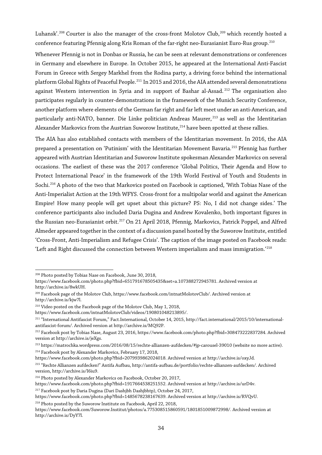Luhansk'.<sup>[208](#page-33-0)</sup> Courter is also the manager of the cross-front Molotov Club,<sup>[209](#page-33-1)</sup> which recently hosted a conference featuring Pfennig along Kris Roman of the far-right neo-Eurasianist Euro-Rus group.<sup>[210](#page-33-2)</sup>

Whenever Pfennig is not in Donbas or Russia, he can be seen at relevant demonstrations or conferences in Germany and elsewhere in Europe. In October 2015, he appeared at the International Anti-Fascist Forum in Greece with Sergey Markhel from the Rodina party, a driving force behind the international platform Global Rights of Peaceful People.<sup>[211](#page-33-3)</sup> In 2015 and 2016, the AIA attended several demonstrations against Western intervention in Syria and in support of Bashar al-Assad.<sup>[212](#page-33-4)</sup> The organisation also participates regularly in counter-demonstrations in the framework of the Munich Security Conference, another platform where elements of the German far right and far left meet under an anti-American, and particularly anti-NATO, banner. Die Linke politician Andreas Maurer,<sup>[213](#page-33-5)</sup> as well as the Identitarian Alexander Markovics from the Austrian Suworow Institute,<sup>[214](#page-33-6)</sup> have been spotted at these rallies.

The AIA has also established contacts with members of the Identitarian movement. In 2016, the AIA prepared a presentation on 'Putinism' with the Identitarian Movement Bavaria.<sup>[215](#page-33-7)</sup> Pfennig has further appeared with Austrian Identitarian and Suworow Institute spokesman Alexander Markovics on several occasions. The earliest of these was the 2017 conference 'Global Politics, Their Agenda and How to Protect International Peace' in the framework of the 19th World Festival of Youth and Students in Sochi.[216](#page-33-8) A photo of the two that Markovics posted on Facebook is captioned, 'With Tobias Nase of the Anti-Imperialist Action at the 19th WFYS. Cross-front for a multipolar world and against the American Empire! How many people will get upset about this picture? PS: No, I did not change sides.' The conference participants also included Daria Dugina and Andrew Kovalenko, both important figures in the Russian neo-Eurasianist orbit.<sup>[217](#page-33-9)</sup> On 21 April 2018, Pfennig, Markovics, Patrick Poppel, and Alfred Almeder appeared together in the context of a discussion panel hosted by the Suworow Institute, entitled 'Cross-Front, Anti-Imperialism and Refugee Crisis'. The caption of the image posted on Facebook reads: 'Left and Right discussed the connection between Western imperialism and mass immigration.'[218](#page-33-10)

 $\overline{a}$ 

https://www.facebook.com/intnatMolotovClub/videos/190801048213895/.

<sup>208</sup> Photo posted by Tobias Nase on Facebook, June 30, 2018,

<span id="page-33-0"></span>https://www.facebook.com/photo.php?fbid=651791678505435&set=a.107388272945781. Archived version at http://archive.is/8wkUH.

<span id="page-33-1"></span><sup>209</sup> Facebook page of the Molotov Club, https://www.facebook.com/intnatMolotovClub/. Archived version at http://archive.is/kjw7l.

<span id="page-33-2"></span><sup>210</sup> Video posted on the Facebook page of the Molotov Club, May 1, 2018,

<span id="page-33-3"></span><sup>211</sup> "International Antifascist Forum," Fact.International, October 14, 2015, http://fact.international/2015/10/internationalantifascist-forum/. Archived version at http://archive.is/MQ92P.

<span id="page-33-4"></span><sup>212</sup> Facebook post by Tobias Nase, August 23, 2016, https://www.facebook.com/photo.php?fbid=308473222837284. Archived version at http://archive.is/jeXgs.

<span id="page-33-5"></span><sup>213</sup> <https://matrochka.wordpress.com/2016/08/15/rechte-allianzen-aufdecken/#jp-carousel-39010> (website no more active). <sup>214</sup> Facebook post by Alexander Markovics, February 17, 2018,

<span id="page-33-6"></span>https://www.facebook.com/photo.php?fbid=2079939862024018. Archived version at http://archive.is/oxyJd.

<span id="page-33-7"></span><sup>215</sup> "Rechte Allianzen aufdecken!" Antifa Aufbau, http://antifa-aufbau.de/portfolio/rechte-allianzen-aufdecken/. Archived version, http://archive.is/I6iu9.

<span id="page-33-8"></span><sup>216</sup> Photo posted by Alexander Markovics on Facebook, October 20, 2017,

https://www.facebook.com/photo.php?fbid=1917664538251552. Archived version at http://archive.is/urD4v.

<span id="page-33-9"></span><sup>217</sup> Facebook post by Daria Dugina (Dari Dashjbh Dashjbhtp), October 24, 2017,

https://www.facebook.com/photo.php?fbid=1485678238167639. Archived version at http://archive.is/RVQvU.

<span id="page-33-10"></span><sup>&</sup>lt;sup>218</sup> Photo posted by the Suworow Institute on Facebook, April 22, 2018,

https://www.facebook.com/Suworow.Institut/photos/a.775308515860591/1801851009872998/. Archived version at http://archive.is/DyY7l.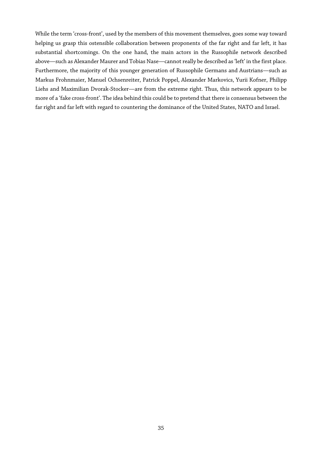While the term 'cross-front', used by the members of this movement themselves, goes some way toward helping us grasp this ostensible collaboration between proponents of the far right and far left, it has substantial shortcomings. On the one hand, the main actors in the Russophile network described above—such as Alexander Maurer and Tobias Nase—cannot really be described as 'left' in the first place. Furthermore, the majority of this younger generation of Russophile Germans and Austrians—such as Markus Frohnmaier, Manuel Ochsenreiter, Patrick Poppel, Alexander Markovics, Yurii Kofner, Philipp Liehs and Maximilian Dvorak-Stocker—are from the extreme right. Thus, this network appears to be more of a 'fake cross-front'. The idea behind this could be to pretend that there is consensus between the far right and far left with regard to countering the dominance of the United States, NATO and Israel.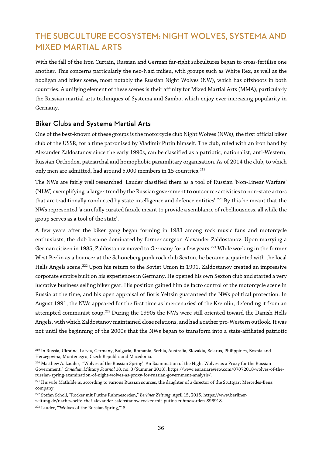# THE SUBCULTURE ECOSYSTEM: NIGHT WOLVES, SYSTEMA AND MIXED MARTIAL ARTS

With the fall of the Iron Curtain, Russian and German far-right subcultures began to cross-fertilise one another. This concerns particularly the neo-Nazi milieu, with groups such as White Rex, as well as the hooligan and biker scene, most notably the Russian Night Wolves (NW), which has offshoots in both countries. A unifying element of these scenes is their affinity for Mixed Martial Arts (MMA), particularly the Russian martial arts techniques of Systema and Sambo, which enjoy ever-increasing popularity in Germany.

#### Biker Clubs and Systema Martial Arts

One of the best-known of these groups is the motorcycle club Night Wolves (NWs), the first official biker club of the USSR, for a time patronised by Vladimir Putin himself. The club, ruled with an iron hand by Alexander Zaldostanov since the early 1990s, can be classified as a patriotic, nationalist, anti-Western, Russian Orthodox, patriarchal and homophobic paramilitary organisation. As of 2014 the club, to which only men are admitted, had around 5,000 members in 15 countries.<sup>[219](#page-35-0)</sup>

The NWs are fairly well researched. Lauder classified them as a tool of Russian 'Non-Linear Warfare' (NLW) exemplifying 'a larger trend by the Russian government to outsource activities to non-state actors that are traditionally conducted by state intelligence and defence entities'.<sup>[220](#page-35-1)</sup> By this he meant that the NWs represented 'a carefully curated facade meant to provide a semblance of rebelliousness, all while the group serves as a tool of the state'.

A few years after the biker gang began forming in 1983 among rock music fans and motorcycle enthusiasts, the club became dominated by former surgeon Alexander Zaldostanov. Upon marrying a German citizen in 1985, Zaldostanov moved to Germany for a few years.<sup>[221](#page-35-2)</sup> While working in the former West Berlin as a bouncer at the Schöneberg punk rock club Sexton, he became acquainted with the local Hells Angels scene.<sup>[222](#page-35-3)</sup> Upon his return to the Soviet Union in 1991, Zaldostanov created an impressive corporate empire built on his experiences in Germany. He opened his own Sexton club and started a very lucrative business selling biker gear. His position gained him de facto control of the motorcycle scene in Russia at the time, and his open appraisal of Boris Yeltsin guaranteed the NWs political protection. In August 1991, the NWs appeared for the first time as 'mercenaries' of the Kremlin, defending it from an attempted communist coup.<sup>[223](#page-35-4)</sup> During the 1990s the NWs were still oriented toward the Danish Hells Angels, with which Zaldostanov maintained close relations, and had a rather pro-Western outlook. It was not until the beginning of the 2000s that the NWs began to transform into a state-affiliated patriotic

<span id="page-35-0"></span> $\overline{a}$ <sup>219</sup> In Russia, Ukraine, Latvia, Germany, Bulgaria, Romania, Serbia, Australia, Slovakia, Belarus, Philippines, Bosnia and Herzegovina, Montenegro, Czech Republic and Macedonia.

<span id="page-35-1"></span><sup>&</sup>lt;sup>220</sup> Matthew A. Lauder, "Wolves of the Russian Spring': An Examination of the Night Wolves as a Proxy for the Russian Government," *Canadian Military Journal* 18, no. 3 (Summer 2018), https://www.eurasiareview.com/07072018-wolves-of-therussian-spring-examination-of-night-wolves-as-proxy-for-russian-government-analysis/.

<span id="page-35-2"></span><sup>&</sup>lt;sup>221</sup> His wife Mathilde is, according to various Russian sources, the daughter of a director of the Stuttgart Mercedes-Benz company.

<span id="page-35-3"></span><sup>222</sup> Stefan Scholl, "Rocker mit Putins Ruhmesorden," *Berliner Zeitung*, April 15, 2015, https://www.berlinerzeitung.de/nachtwoelfe-chef-alexander-saldostanow-rocker-mit-putins-ruhmesorden-896918.

<span id="page-35-4"></span><sup>&</sup>lt;sup>223</sup> Lauder, "'Wolves of the Russian Spring," 8.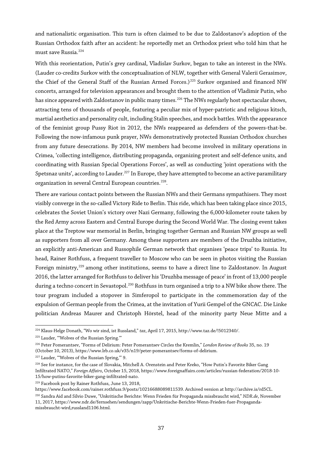and nationalistic organisation. This turn is often claimed to be due to Zaldostanov's adoption of the Russian Orthodox faith after an accident: he reportedly met an Orthodox priest who told him that he must save Russia.<sup>[224](#page-36-0)</sup>

With this reorientation, Putin's grey cardinal, Vladislav Surkov, began to take an interest in the NWs. (Lauder co-credits Surkov with the conceptualisation of NLW, together with General Valerii Gerasimov, the Chief of the General Staff of the Russian Armed Forces.)<sup>[225](#page-36-1)</sup> Surkov organised and financed NW concerts, arranged for television appearances and brought them to the attention of Vladimir Putin, who has since appeared with Zaldostanov in public many times.<sup>[226](#page-36-2)</sup> The NWs regularly host spectacular shows, attracting tens of thousands of people, featuring a peculiar mix of hyper-patriotic and religious kitsch, martial aesthetics and personality cult, including Stalin speeches, and mock battles. With the appearance of the feminist group Pussy Riot in 2012, the NWs reappeared as defenders of the powers-that-be. Following the now-infamous punk prayer, NWs demonstratively protected Russian Orthodox churches from any future desecrations. By 2014, NW members had become involved in military operations in Crimea, 'collecting intelligence, distributing propaganda, organizing protest and self-defence units, and coordinating with Russian Special Operations Forces', as well as conducting 'joint operations with the Spetsnaz units', according to Lauder.<sup>227</sup> In Europe, they have attempted to become an active paramilitary organization in several Central European countries.<sup>[228](#page-36-4)</sup>.

There are various contact points between the Russian NWs and their Germans sympathisers. They most visibly converge in the so-called Victory Ride to Berlin. This ride, which has been taking place since 2015, celebrates the Soviet Union's victory over Nazi Germany, following the 6,000-kilometer route taken by the Red Army across Eastern and Central Europe during the Second World War. The closing event takes place at the Treptow war memorial in Berlin, bringing together German and Russian NW groups as well as supporters from all over Germany. Among these supporters are members of the Druzhba initiative, an explicitly anti-American and Russophile German network that organises 'peace trips' to Russia. Its head, Rainer Rothfuss, a frequent traveller to Moscow who can be seen in photos visiting the Russian Foreign ministry,<sup>[229](#page-36-5)</sup> among other institutions, seems to have a direct line to Zaldostanov. In August 2016, the latter arranged for Rothfuss to deliver his 'Druzhba message of peace' in front of 13,000 people during a techno concert in Sevastopol.<sup>[230](#page-36-6)</sup> Rothfuss in turn organised a trip to a NW bike show there. The tour program included a stopover in Simferopol to participate in the commemoration day of the expulsion of German people from the Crimea, at the invitation of Yurii Gempel of the GNCAC. Die Linke politician Andreas Maurer and Christoph Hörstel, head of the minority party Neue Mitte and a

 $\overline{a}$ <sup>224</sup> Klaus-Helge Donath, "Wo wir sind, ist Russland," *taz*, April 17, 2015, http://www.taz.de/!5012340/.

<span id="page-36-1"></span><span id="page-36-0"></span><sup>225</sup> Lauder, "'Wolves of the Russian Spring.'"

<span id="page-36-2"></span><sup>226</sup> Peter Pomerantsev, "Forms of Delirium: Peter Pomerantsev Circles the Kremlin," *London Review of Books* 35, no. 19 (October 10, 2013), https://www.lrb.co.uk/v35/n19/peter-pomerantsev/forms-of-delirium.

<span id="page-36-3"></span><sup>&</sup>lt;sup>227</sup> Lauder, "'Wolves of the Russian Spring," 9.

<span id="page-36-4"></span><sup>&</sup>lt;sup>228</sup> See for instance, for the case of Slovakia, Mitchell A. Orenstein and Peter Kreko, "How Putin's Favorite Biker Gang Infiltrated NATO," *Foreign Affairs*, October 15, 2018, https://www.foreignaffairs.com/articles/russian-federation/2018-10- 15/how-putins-favorite-biker-gang-infiltrated-nato.

<span id="page-36-5"></span><sup>229</sup> Facebook post by Rainer Rothfuss, June 13, 2018,

https://www.facebook.com/rainer.rothfuss.9/posts/10216688089811539. Archived version at http://archive.is/rd5CL.

<span id="page-36-6"></span><sup>230</sup> Sandra Aid and Silvio Duwe, "Unkritische Berichte: Wenn Frieden für Propaganda missbraucht wird," *NDR.de*, November 11, 2017, https://www.ndr.de/fernsehen/sendungen/zapp/Unkritische-Berichte-Wenn-Frieden-fuer-Propagandamissbraucht-wird,russland1106.html.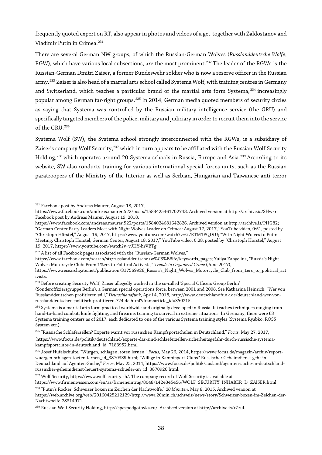frequently quoted expert on RT, also appearin photos and videos of a get-together with Zaldostanov and Vladimir Putin in Crimea.<sup>[231](#page-37-0)</sup>

There are several German NW groups, of which the Russian-German Wolves (*Russlanddeutsche Wölfe*, RGW), which have various local subsections, are the most prominent.<sup>[232](#page-37-1)</sup> The leader of the RGWs is the Russian-German Dmitri Zaiser, a former Bundeswehr soldier who is now a reserve officer in the Russian army.<sup>[233](#page-37-2)</sup> Zaiser is also head of a martial arts school called Systema Wolf, with training centres in Germany and Switzerland, which teaches a particular brand of the martial arts form Systema,<sup>[234](#page-37-3)</sup> increasingly popular among German far-right groups.<sup>[235](#page-37-4)</sup> In 2014, German media quoted members of security circles as saying that Systema was controlled by the Russian military intelligence service (the GRU) and specifically targeted members of the police, military and judiciary in order to recruit them into the service of the GRU.[236](#page-37-5)

Systema Wolf (SW), the Systema school strongly interconnected with the RGWs, is a subsidiary of Zaiser's company Wolf Security,<sup>[237](#page-37-6)</sup> which in turn appears to be affiliated with the Russian Wolf Security Holding,<sup>[238](#page-37-7)</sup> which operates around 20 Systema schools in Russia, Europe and Asia.<sup>[239](#page-37-8)</sup> According to its website, SW also conducts training for various international special forces units, such as the Russian paratroopers of the Ministry of the Interior as well as Serbian, Hungarian and Taiwanese anti-terror

<span id="page-37-1"></span>https://www.facebook.com/search/str/russlanddeutsche+w%C3%B6lfe/keywords\_pages; Yuliya Zabyelina, "Russia's Night Wolves Motorcycle Club: From 1%ers to Political Activists," *Trends in Organized Crime* (June 2017),

 $\overline{a}$ <sup>231</sup> Facebook post by Andreas Maurer, August 18, 2017,

<span id="page-37-0"></span>https://www.facebook.com/andreas.maurer.522/posts/1583425461702748. Archived version at http://archive.is/SHwxr; Facebook post by Andreas Maurer, August 19, 2018,

https://www.facebook.com/andreas.maurer.522/posts/1584024681642826. Archived version at http://archive.is/PHG82; "German Center Party Leaders Meet with Night Wolves Leader on Crimea: August 17, 2017," YouTube video, 0:51, posted by "Christoph Hörstel," August 19, 2017, https://www.youtube.com/watch?v=G7RTM1PQDtU; "With Night Wolves to Putin Meeting: Christoph Hörstel, German Center, August 18, 2017," YouTube video, 0:28, posted by "Christoph Hörstel," August 19, 2017, https://www.youtube.com/watch?v=vJHY-hrVBTg.

<sup>&</sup>lt;sup>232</sup> A list of all Facebook pages associated with the "Russian-German Wolves,"

https://www.researchgate.net/publication/317569926\_Russia's\_Night\_Wolves\_Motorcycle\_Club\_from\_1ers\_to\_political\_act ivists.

<span id="page-37-2"></span><sup>&</sup>lt;sup>233</sup> Before creating Security Wolf, Zaiser allegedly worked in the so-called 'Special Officers Group Berlin'

<sup>(</sup>Sonderoffiziersgruppe Berlin), a German special operations force, between 2001 and 2008. See Katharina Heinrich, "Wer von Russlanddeutschen profitieren will," *Deutschlandfunk*, April 4, 2018, http://www.deutschlandfunk.de/deutschland-wer-vonrusslanddeutschen-politisch-profitieren.724.de.html?dram:article\_id=350215.

<span id="page-37-3"></span><sup>&</sup>lt;sup>234</sup> Systema is a martial arts form practiced worldwide and originally developed in Russia. It teaches techniques ranging from hand-to-hand combat, knife fighting, and firearms training to survival in extreme situations. In Germany, there were 63 Systema training centers as of 2017, each dedicated to one of the various Systema training styles (Systema Ryabko, ROSS System etc.).

<span id="page-37-4"></span><sup>235</sup> "Russische Schläferzellen? Experte warnt vor russischen Kampfsportschulen in Deutschland," *Focus*, May 27, 2017, https://www.focus.de/politik/deutschland/experte-das-sind-schlaeferzellen-sicherheitsgefahr-durch-russische-systema-

kampfsportclubs-in-deutschland\_id\_7183952.html.

<span id="page-37-5"></span><sup>236</sup> Josef Hufelschulte, "Würgen, schlagen, töten lernen," *Focus*, May 26, 2014, https://www.focus.de/magazin/archiv/reportwuergen-schlagen-toeten-lernen\_id\_3870339.html; "Willige in Kampfsport-Clubs? Russischer Geheimdienst geht in Deutschland auf Agenten-Suche," *Focus*, May 25, 2014, https://www.focus.de/politik/ausland/agenten-suche-in-deutschlandrussischer-geheimdienst-heuert-systema-schueler-an\_id\_3870926.html.

<span id="page-37-6"></span><sup>&</sup>lt;sup>237</sup> Wolf Security, https://www.wolfsecurity.ch/. The company record of Wolf Security is available at https://www.firmenwissen.com/en/az/firmeneintrag/8048/1424345456/WOLF\_SECURITY\_INHABER\_D\_ZAISER.html.

<span id="page-37-7"></span><sup>238</sup> "Putin's Rocker: Schweizer boxen im Zeichen der Nachtwölfe," *20 Minuten*, May 8, 2015. Archived version at https://web.archive.org/web/20160425212129/http://www.20min.ch/schweiz/news/story/Schweizer-boxen-im-Zeichen-der-Nachtwoelfe-28314971.

<span id="page-37-8"></span><sup>239</sup> Russian Wolf Security Holding, http://spezpodgotovka.ru/. Archived version at http://archive.is/rZrul.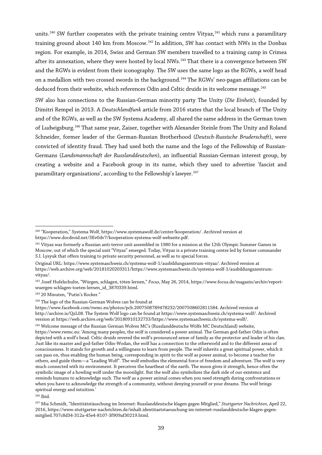units.<sup>[240](#page-38-0)</sup> SW further cooperates with the private training centre Vityaz,<sup>[241](#page-38-1)</sup> which runs a paramilitary training ground about 140 km from Moscow.<sup>[242](#page-38-2)</sup> In addition, SW has contact with NWs in the Donbas region. For example, in 2014, Swiss and German SW members travelled to a training camp in Crimea after its annexation, where they were hosted by local NWs.<sup>[243](#page-38-3)</sup> That there is a convergence between SW and the RGWs is evident from their iconography. The SW uses the same logo as the RGWs, a wolf head on a medallion with two crossed swords in the background.<sup>[244](#page-38-4)</sup> The RGWs' neo-pagan affiliations can be deduced from their website, which references Odin and Celtic druids in its welcome message.<sup>[245](#page-38-5)</sup>

SW also has connections to the Russian-German minority party The Unity (*Die Einheit*), founded by Dimitri Rempel in 2013. A *Deutschlandfunk* article from 2016 states that the local branch of The Unity and of the RGWs, as well as the SW Systema Academy, all shared the same address in the German town of Ludwigsburg.<sup>[246](#page-38-6)</sup> That same year, Zaiser, together with Alexander Steinle from The Unity and Roland Schneider, former leader of the German-Russian Brotherhood (*Deutsch-Russische Bruderschaft*), were convicted of identity fraud. They had used both the name and the logo of the Fellowship of Russian-Germans (*Landsmannschaft der Russlanddeutschen*), an influential Russian-German interest group, by creating a website and a Facebook group in its name, which they used to advertise 'fascist and paramilitary organisations', according to the Fellowship's lawyer.<sup>[247](#page-38-7)</sup>

<span id="page-38-0"></span> $\overline{a}$ <sup>240</sup> "Kooperation," Systema Wolf, https://www.systemawolf.de/center/kooperation/. Archived version at https://www.docdroid.net/3Ev0dv7/kooperation-systema-wolf-webseite.pdf.

<span id="page-38-1"></span><sup>&</sup>lt;sup>241</sup> Vityaz was formerly a Russian anti-terror unit assembled in 1980 for a mission at the 12th Olympic Summer Games in Moscow, out of which the special unit "Vityaz" emerged. Today, Vityaz is a private training centre led by former commander S.I. Lysyuk that offers training to private security personnel, as well as to special forces.

Original URL: https://www.systemaschweiz.ch/systema-wolf-1/ausbildungszentrum-vityaz/. Archived version at https://web.archive.org/web/20181020203311/https://www.systemaschweiz.ch/systema-wolf-1/ausbildungszentrumvityaz/.

<span id="page-38-2"></span><sup>242</sup> Josef Hufelschulte, "Würgen, schlagen, töten lernen," *Focus*, May 26, 2014, https://www.focus.de/magazin/archiv/reportwuergen-schlagen-toeten-lernen\_id\_3870339.html.

<span id="page-38-3"></span><sup>243</sup> 20 Minuten, "Putin's Rocker."

<sup>&</sup>lt;sup>244</sup> The logo of the Russian-German Wolves can be found at

<span id="page-38-4"></span>https://www.facebook.com/rwmc.eu/photos/pcb.2007508789478232/2007508602811584. Archived version at http://archive.is/QzL08. The System Wolf logo can be found at https://www.systemaschweiz.ch/systema-wolf/. Archived version at https://web.archive.org/web/20180910132733/https://www.systemaschweiz.ch/systema-wolf/.

<span id="page-38-5"></span><sup>245</sup> Welcome message of the Russian German Wolves MC's (Russlanddeutsche Wölfe MC Deutschland) website, https://www.rwmc.eu: 'Among many peoples, the wolf is considered a power animal. The German god-father Odin is often depicted with a wolf's head. Celtic druids revered the wolf's pronounced sense of family as the protector and leader of his clan. Just like its master and god-father Odin-Wodan, the wolf has a connection to the otherworld and to the different areas of consciousness. It stands for growth and a willingness to learn from people. The wolf inherits a great spiritual power, which it can pass on, thus enabling the human being, corresponding in spirit to the wolf as power animal, to become a teacher for others, and guide them—a "Leading Wolf". The wolf embodies the elemental force of freedom and adventure. The wolf is very much connected with its environment. It perceives the heartbeat of the earth. The moon gives it strength, hence often the symbolic image of a howling wolf under the moonlight. But the wolf also symbolizes the dark side of our existence and reminds humans to acknowledge such. The wolf as a power animal comes when you need strength during confrontations or when you have to acknowledge the strength of a community, without denying yourself or your dreams. The wolf brings spiritual energy and intuition.'

<span id="page-38-6"></span><sup>246</sup> Ibid.

<span id="page-38-7"></span><sup>247</sup> Mia Schmidt, "Identitätstäuschung im Internet: Russlanddeutsche klagen gegen Mitglied," *Stuttgarter Nachrichten*, April 22, 2016, https://www.stuttgarter-nachrichten.de/inhalt.identitaetstaeuschung-im-internet-russlanddeutsche-klagen-gegenmitglied.707c8d34-312a-45e4-8107-3f909af30219.html.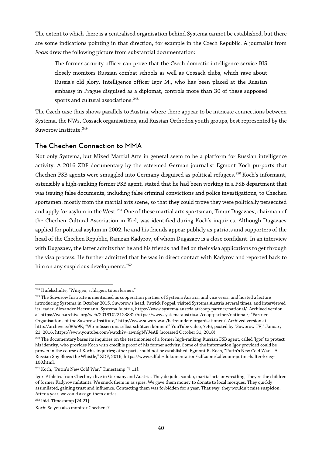The extent to which there is a centralised organisation behind Systema cannot be established, but there are some indications pointing in that direction, for example in the Czech Republic. A journalist from *Focus* drew the following picture from substantial documentation:

The former security officer can prove that the Czech domestic intelligence service BIS closely monitors Russian combat schools as well as Cossack clubs, which rave about Russia's old glory. Intelligence officer Igor M., who has been placed at the Russian embassy in Prague disguised as a diplomat, controls more than 30 of these supposed sports and cultural associations.<sup>[248](#page-39-0)</sup>

The Czech case thus shows parallels to Austria, where there appear to be intricate connections between Systema, the NWs, Cossack organisations, and Russian Orthodox youth groups, best represented by the Suworow Institute.<sup>[249](#page-39-1)</sup>

#### The Chechen Connection to MMA

Not only Systema, but Mixed Martial Arts in general seem to be a platform for Russian intelligence activity. A 2016 ZDF documentary by the esteemed German journalist Egmont Koch purports that Chechen FSB agents were smuggled into Germany disguised as political refugees.<sup>[250](#page-39-2)</sup> Koch's informant, ostensibly a high-ranking former FSB agent, stated that he had been working in a FSB department that was issuing false documents, including false criminal convictions and police investigations, to Chechen sportsmen, mostly from the martial arts scene, so that they could prove they were politically persecuted and apply for asylum in the West.<sup>[251](#page-39-3)</sup> One of these martial arts sportsman, Timur Dugazaev, chairman of the Chechen Cultural Association in Kiel, was identified during Koch's inquiries. Although Dugazaev applied for political asylum in 2002, he and his friends appear publicly as patriots and supporters of the head of the Chechen Republic, Ramzan Kadyrov, of whom Dugazaev is a close confidant. In an interview with Dugazaev, the latter admits that he and his friends had lied on their visa applications to get through the visa process. He further admitted that he was in direct contact with Kadyrov and reported back to him on any suspicious developments.<sup>252</sup>

 $\overline{a}$ <sup>248</sup> Hufelschulte, "Würgen, schlagen, töten lernen."

<span id="page-39-1"></span><span id="page-39-0"></span><sup>&</sup>lt;sup>249</sup> The Suworow Institute is mentioned as cooperation partner of Systema Austria, and vice versa, and hosted a lecture introducing Systema in October 2015. Suworow's head, Patrick Poppel, visited Systema Austria several times, and interviewed its leader, Alexander Heermann. Systema Austria, https://www.systema-austria.at/coop-partner/national/. Archived version at https://web.archive.org/web/20181022123832/https://www.systema-austria.at/coop-partner/national/; "Partner Organisations of the Suworow Institute," http://www.suworow.at/befreundete-organisationen/. Archived version at http://archive.is/80u9K; "Wir müssen uns selbst schützen können!" YouTube video, 7:46, posted by "Suworow TV," January 21, 2016, https://www.youtube.com/watch?v=awn6gNYJ4AE (accessed October 31, 2018).

<span id="page-39-2"></span><sup>&</sup>lt;sup>250</sup> The documentary bases its inquiries on the testimonies of a former high-ranking Russian FSB agent, called 'Igor' to protect his identity, who provides Koch with credible proof of his former activity. Some of the information Igor provided could be proven in the course of Koch's inquiries; other parts could not be established. Egmont R. Koch, "Putin's New Cold War—A Russian Spy Blows the Whistle," ZDF, 2016, https://www.zdf.de/dokumentation/zdfzoom/zdfzoom-putins-kalter-krieg-100.html.

<span id="page-39-3"></span><sup>251</sup> Koch, "Putin's New Cold War." Timestamp [7:11]:

Igor: Athletes from Chechnya live in Germany and Austria. They do judo, sambo, martial arts or wrestling. They're the children of former Kadyrov militants. We snuck them in as spies. We gave them money to donate to local mosques. They quickly assimilated, gaining trust and influence. Contacting them was forbidden for a year. That way, they wouldn't raise suspicion. After a year, we could assign them duties.

<span id="page-39-4"></span><sup>252</sup> Ibid. Timestamp [24:21]:

Koch: So you also monitor Chechens?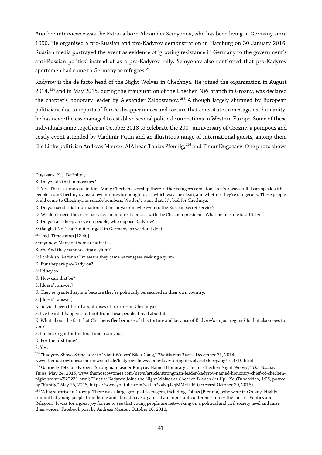Another interviewee was the Estonia-born Alexander Semyonov, who has been living in Germany since 1990. He organised a pro-Russian and pro-Kadyrov demonstration in Hamburg on 30 January 2016. Russian media portrayed the event as evidence of 'growing resistance in Germany to the government's anti-Russian politics' instead of as a pro-Kadyrov rally. Semyonov also confirmed that pro-Kadyrov sportsmen had come to Germany as refugees.<sup>[253](#page-40-0)</sup>

Kadyrov is the de facto head of the Night Wolves in Chechnya. He joined the organisation in August 2014,<sup>[254](#page-40-1)</sup> and in May 2015, during the inauguration of the Chechen NW branch in Grozny, was declared the chapter's honorary leader by Alexander Zaldostanov.<sup>[255](#page-40-2)</sup> Although largely shunned by European politicians due to reports of forced disappearances and torture that constitute crimes against humanity, he has nevertheless managed to establish several political connections in Western Europe. Some of these individuals came together in October 2018 to celebrate the 200<sup>th</sup> anniversary of Grozny, a pompous and costly event attended by Vladimir Putin and an illustrious range of international guests, among them Die Linke politician Andreas Maurer, AIA head Tobias Pfennig,<sup>[256](#page-40-3)</sup> and Timur Dugazaev. One photo shows

<span id="page-40-1"></span><sup>254</sup> "Kadyrov Shows Some Love to 'Night Wolves' Biker Gang," *The Moscow Times*, December 21, 2014,

www.themoscowtimes.com/news/article/kadyrov-shows-some-love-to-night-wolves-biker-gang/513710.html.

<span id="page-40-3"></span><sup>256</sup> 'A big surprise in Grozny. There was a large group of teenagers, including Tobias [Pfennig], who were in Grozny. Highly committed young people from home and abroad have organised an important conference under the motto "Politics and Religion." It was for a great joy for me to see that young people are networking on a political and civil society level and raise their voices.' Facebook post by Andreas Maurer, October 10, 2018,

 $\overline{a}$ Dugazaev: Yes. Definitely.

K: Do you do that in mosques?

D: Yes. There's a mosque in Kiel. Many Chechens worship there. Other refugees come too, so it's always full. I can speak with people from Chechnya. Just a few minutes is enough to see which way they lean, and whether they're dangerous. These people could come to Chechnya as suicide bombers. We don't want that. It's bad for Chechnya.

K: Do you send this information to Chechnya or maybe even to the Russian secret service?

D: We don't need the secret service. I'm in direct contact with the Chechen president. What he tells me is sufficient.

K: Do you also keep an eye on people, who oppose Kadyrov?

S: (laughs) No. That's not our goal in Germany, so we don't do it.

<span id="page-40-0"></span><sup>253</sup> Ibid. Timestamp [18:40]:

Semyonov: Many of them are athletes.

Koch: And they came seeking asylum?

S: I think so. As far as I'm aware they came as refugees seeking asylum.

K: But they are pro-Kadyrov?

S: I'd say so.

K: How can that be?

S: [doesn't answer]

K: They're granted asylum because they're politically persecuted in their own country.

S: [doesn't answer]

K: So you haven't heard about cases of tortures in Chechnya?

S: I've heard it happens, but not from these people. I read about it.

K: What about the fact that Chechens flee because of this torture and because of Kadyrov's unjust regime? Is that also news to you?

S: I'm hearing it for the first time from you.

K: For the first time?

 $S: Y_{PS}$ 

<span id="page-40-2"></span><sup>255</sup> Gabrielle Tétrault-Farber, "Strongman Leader Kadyrov Named Honorary Chief of Chechen Night Wolves," *The Moscow Times*, May 24, 2015, www.themoscowtimes.com/news/article/strongman-leader-kadyrov-named-honorary-chief-of-chechennight-wolves/522231.html; "Russia: Kadyrov Joins the Night Wolves as Chechen Branch Set Up," YouTube video, 1:05, posted by "Ruptly," May 25, 2015, https://www.youtube.com/watch?v=NqJvqMMcLuM (accessed October 30, 2018).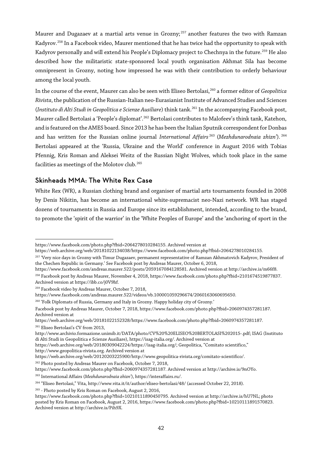Maurer and Dugazaev at a martial arts venue in Grozny;<sup>[257](#page-41-0)</sup> another features the two with Ramzan Kadyrov.[258](#page-41-1) In a Facebook video, Maurer mentioned that he has twice had the opportunity to speak with Kadyrov personally and will extend his People's Diplomacy project to Chechnya in the future.<sup>[259](#page-41-2)</sup> He also described how the militaristic state-sponsored local youth organisation Akhmat Sila has become omnipresent in Grozny, noting how impressed he was with their contribution to orderly behaviour among the local youth.

In the course of the event, Maurer can also be seen with Eliseo Bertolasi,[260](#page-41-3) a former editor of *Geopolitica Rivista*, the publication ofthe Russian-Italian neo-EurasianistInstitute of Advanced Studies and Sciences (*Instituto di Alti Studi in Geopolitica e Scienze Ausiliare*) think tank[.261](#page-41-4) In the accompanying Facebook post, Maurer called Bertolasi a 'People's diplomat'. <sup>[262](#page-41-5)</sup> Bertolasi contributes to Malofeev's think tank, Katehon, and is featured on the AMES board. Since 2013 he has been the Italian Sputnik correspondent for Donbas and has written for the Russian online journal *International Affairs* [263](#page-41-6) (*Mezhdunarodnaia zhizn'*). [264](#page-41-7) Bertolasi appeared at the 'Russia, Ukraine and the World' conference in August 2016 with Tobias Pfennig, Kris Roman and Aleksei Weitz of the Russian Night Wolves, which took place in the same facilities as meetings of the Molotov club.<sup>[265](#page-41-8)</sup>

#### Skinheads MMA: The White Rex Case

White Rex (WR), a Russian clothing brand and organiser of martial arts tournaments founded in 2008 by Denis Nikitin, has become an international white-supremacist neo-Nazi network. WR has staged dozens of tournaments in Russia and Europe since its establishment, intended, according to the brand, to promote the 'spirit of the warrior' in the 'White Peoples of Europe' and the 'anchoring of sport in the

<span id="page-41-3"></span><sup>260</sup> 'Folk Diplomats of Russia, Germany and Italy in Grozny. Happy holiday city of Grozny.'

<sup>262</sup> Photo posted by Andreas Maurer on Facebook, October 7, 2018,

 $\overline{a}$ https://www.facebook.com/photo.php?fbid=2064278010284155. Archived version at

https://web.archive.org/web/20181022134038/https://www.facebook.com/photo.php?fbid=2064278010284155.

<span id="page-41-0"></span><sup>&</sup>lt;sup>257</sup> 'Very nice days in Grozny with Timur Dugazaev, permanent representative of Ramzan Akhmatovich Kadyrov, President of the Chechen Republic in Germany.' See Facebook post by Andreas Maurer, October 6, 2018,

<span id="page-41-1"></span>https://www.facebook.com/andreas.maurer.522/posts/2059167084128581. Archived version at http://archive.is/m66f8. <sup>258</sup> Facebook post by Andreas Maurer, November 4, 2018, https://www.facebook.com/photo.php?fbid=2101674519877837. Archived version at https://ibb.co/j0V9hf.

<span id="page-41-2"></span><sup>259</sup> Facebook video by Andreas Maurer, October 7, 2018,

https://www.facebook.com/andreas.maurer.522/videos/vb.100001059296674/2060163060695650.

Facebook post by Andreas Maurer, October 7, 2018, https://www.facebook.com/photo.php?fbid=2060974357281187. Archived version at

https://web.archive.org/web/20181022152328/https://www.facebook.com/photo.php?fbid=2060974357281187. <sup>261</sup> Eliseo Bertolasi's CV from 2013,

<span id="page-41-4"></span>http://www.archivio.formazione.unimib.it/DATA/photo/CV%20%20ELISEO%20BERTOLASI%202015-.pdf; ISAG (Instituto di Alti Studi in Geopolitica e Scienze Ausiliare), https://isag-italia.org/. Archived version at

https://web.archive.org/web/20180309042224/https://isag-italia.org/; Geopolitica, "Comitato scientifico,"

http://www.geopolitica-rivista.org. Archived version at

https://web.archive.org/web/20120203225900/http://www.geopolitica-rivista.org/comitato-scientifico/.

<span id="page-41-5"></span>https://www.facebook.com/photo.php?fbid=2060974357281187. Archived version at http://archive.is/9nOYo.

<span id="page-41-6"></span><sup>263</sup> International Affairs (*Mezhdunarodnaia zhizn'*), https://interaffairs.ru/.

<span id="page-41-7"></span><sup>264</sup> "Eliseo Bertolasi," Vita, http://www.vita.it/it/author/eliseo-bertolasi/48/ (accessed October 22, 2018).

<sup>265</sup> - Photo posted by Kris Roman on Facebook, August 2, 2016,

<span id="page-41-8"></span>https://www.facebook.com/photo.php?fbid=10210111890450795. Archived version at http://archive.is/hU7NL; photo posted by Kris Roman on Facebook, August 2, 2016, https://www.facebook.com/photo.php?fbid=10210111891570823. Archived version at http://archive.is/Pih9X.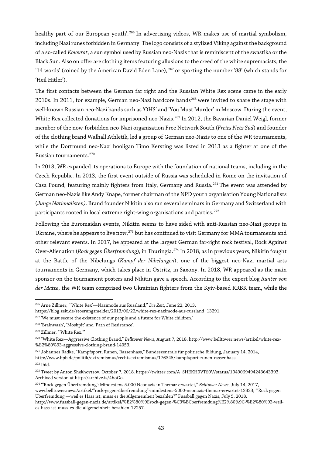healthy part of our European youth'.<sup>[266](#page-42-0)</sup> In advertising videos, WR makes use of martial symbolism, including Nazi runes forbidden in Germany. The logo consists of a stylized Viking against the background of a so-called *Kolovrat*, a sun symbol used by Russian neo-Nazis that is reminiscent of the swastika or the Black Sun. Also on offer are clothing items featuring allusions to the creed of the white supremacists, the '14 words' (coined by the American David Eden Lane), <sup>[267](#page-42-1)</sup> or sporting the number '88' (which stands for 'Heil Hitler').

The first contacts between the German far right and the Russian White Rex scene came in the early 2010s. In 2011, for example, German neo-Nazi hardcore bands<sup>[268](#page-42-2)</sup> were invited to share the stage with well-known Russian neo-Nazi bands such as 'OHS' and 'You Must Murder' in Moscow. During the event, White Rex collected donations for imprisoned neo-Nazis.<sup>[269](#page-42-3)</sup> In 2012, the Bavarian Daniel Weigl, former member of the now-forbidden neo-Nazi organisation Free Network South (*Freies Netz Süd*) and founder of the clothing brand Walhall Athletik, led a group of German neo-Nazis to one of the WR tournaments, while the Dortmund neo-Nazi hooligan Timo Kersting was listed in 2013 as a fighter at one of the Russian tournaments.[270](#page-42-4)

In 2013, WR expanded its operations to Europe with the foundation of national teams, including in the Czech Republic. In 2013, the first event outside of Russia was scheduled in Rome on the invitation of Casa Pound, featuring mainly fighters from Italy, Germany and Russia.<sup>[271](#page-42-5)</sup> The event was attended by German neo-Nazis like Andy Knape, former chairman ofthe NPD youth organisation Young Nationalists (*Junge Nationalisten)*. Brand founder Nikitin also ran several seminars in Germany and Switzerland with participants rooted in local extreme right-wing organisations and parties.<sup>[272](#page-42-6)</sup>

Following the Euromaidan events, Nikitin seems to have sided with anti-Russian neo-Nazi groups in Ukraine, where he appears to live now,  $273$  but has continued to visit Germany for MMA tournaments and other relevant events. In 2017, he appeared at the largest German far-right rock festival, Rock Against Over-Alienation (*Rock gegen Überfremdung*), in Thuringia[.274](#page-42-8) In 2018, as in previous years, Nikitin fought at the Battle of the Nibelungs (*Kampf der Nibelungen*), one of the biggest neo-Nazi martial arts tournaments in Germany, which takes place in Ostritz, in Saxony. In 2018, WR appeared as the main sponsor on the tournament posters and Nikitin gave a speech. According to the expert blog *Runter von der Matte*, the WR team comprised two Ukrainian fighters from the Kyiv-based KRBK team, while the

 $\overline{a}$ 

<span id="page-42-0"></span><sup>266</sup> Arne Zillmer, "'White Rex'—Nazimode aus Russland," *Die Zeit*, June 22, 2013,

https://blog.zeit.de/stoerungsmelder/2013/06/22/white-rex-nazimode-aus-russland\_13291.

<span id="page-42-1"></span> $^{267}$  'We must secure the existence of our people and a future for White children.'

<sup>268</sup> 'Brainwash', 'Moshpit' and 'Path of Resistance'.

<span id="page-42-3"></span><span id="page-42-2"></span><sup>269</sup> Zillmer, "'White Rex.'"

<span id="page-42-4"></span><sup>270</sup> "White Rex—Aggressive Clothing Brand," *Belltower News*, August 7, 2018, http://www.belltower.news/artikel/white-rex- %E2%80%93-aggressive-clothing-brand-14053.

<span id="page-42-5"></span><sup>271</sup> Johannes Radke, "Kampfsport, Runen, Rassenhass," Bundeszentrale für politische Bildung, January 14, 2014, http://www.bpb.de/politik/extremismus/rechtsextremismus/176345/kampfsport-runen-rassenhass. <sup>272</sup> Ibid.

<span id="page-42-7"></span><span id="page-42-6"></span><sup>273</sup> Tweet by Anton Shekhovtsov, October 7, 2018. https://twitter.com/A\_SHEKH0VTS0V/status/1049069494243643393. Archived version at http://archive.is/4hoGo.

<span id="page-42-8"></span><sup>274</sup> "'Rock gegen Überfremdung': Mindestens 5.000 Neonazis in Themar erwartet," *Belltower News*, July 14, 2017, www.belltower.news/artikel/"rock-gegen-überfremdung"-mindestens-5000-neonazis-themar-erwartet-12323; "'Rock gegen Überfremdung'—weil es Hass ist, muss es die Allgemeinheit bezahlen?" Fussball gegen Nazis, July 5, 2018. http://www.fussball-gegen-nazis.de/artikel/%E2%80%9Erock-gegen-%C3%BCberfremdung%E2%80%9C-%E2%80%93-weil-

es-hass-ist-muss-es-die-allgemeinheit-bezahlen-12257.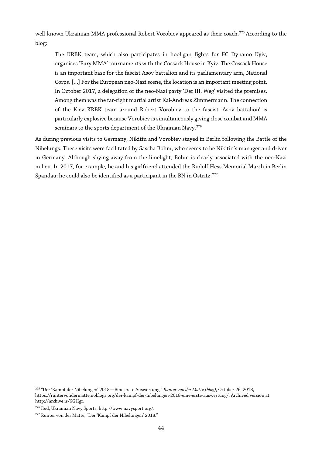well-known Ukrainian MMA professional Robert Vorobiev appeared as their coach.<sup>[275](#page-43-0)</sup> According to the blog:

The KRBK team, which also participates in hooligan fights for FC Dynamo Kyiv, organises 'Fury MMA' tournaments with the Cossack House in Kyiv. The Cossack House is an important base for the fascist Asov battalion and its parliamentary arm, National Corps. [...] For the European neo-Nazi scene, the location is an important meeting point. In October 2017, a delegation of the neo-Nazi party 'Der III. Weg' visited the premises. Among them was the far-right martial artist Kai-Andreas Zimmermann. The connection of the Kiev KRBK team around Robert Vorobiev to the fascist 'Asov battalion' is particularly explosive because Vorobiev is simultaneously giving close combat and MMA seminars to the sports department of the Ukrainian Navy.<sup>[276](#page-43-1)</sup>

As during previous visits to Germany, Nikitin and Vorobiev stayed in Berlin following the Battle of the Nibelungs. These visits were facilitated by Sascha Böhm, who seems to be Nikitin's manager and driver in Germany. Although shying away from the limelight, Böhm is clearly associated with the neo-Nazi milieu. In 2017, for example, he and his girlfriend attended the Rudolf Hess Memorial March in Berlin Spandau; he could also be identified as a participant in the BN in Ostritz.<sup>[277](#page-43-2)</sup>

<span id="page-43-0"></span> $\overline{a}$ <sup>275</sup> "Der 'Kampf der Nibelungen' 2018—Eine erste Auswertung," *Runter von der Matte (blog)*, October 26, 2018, https://runtervondermatte.noblogs.org/der-kampf-der-nibelungen-2018-eine-erste-auswertung/. Archived version at http://archive.is/6GHgr.

<span id="page-43-1"></span><sup>276</sup> Ibid; Ukrainian Navy Sports, http://www.navysport.org/.

<span id="page-43-2"></span><sup>277</sup> Runter von der Matte, "Der 'Kampf der Nibelungen' 2018."